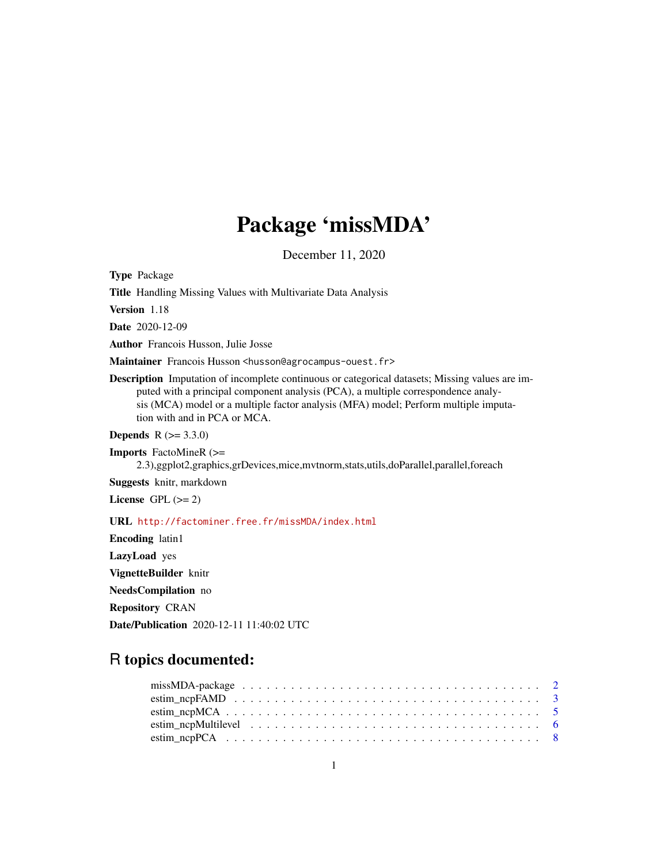# Package 'missMDA'

December 11, 2020

<span id="page-0-0"></span>Type Package

Title Handling Missing Values with Multivariate Data Analysis

Version 1.18

Date 2020-12-09

Author Francois Husson, Julie Josse

Maintainer Francois Husson <husson@agrocampus-ouest.fr>

Description Imputation of incomplete continuous or categorical datasets; Missing values are imputed with a principal component analysis (PCA), a multiple correspondence analysis (MCA) model or a multiple factor analysis (MFA) model; Perform multiple imputation with and in PCA or MCA.

**Depends** R  $(>= 3.3.0)$ 

Imports FactoMineR (>= 2.3),ggplot2,graphics,grDevices,mice,mvtnorm,stats,utils,doParallel,parallel,foreach

Suggests knitr, markdown

License GPL  $(>= 2)$ 

URL <http://factominer.free.fr/missMDA/index.html>

Encoding latin1 LazyLoad yes VignetteBuilder knitr NeedsCompilation no Repository CRAN Date/Publication 2020-12-11 11:40:02 UTC

# R topics documented: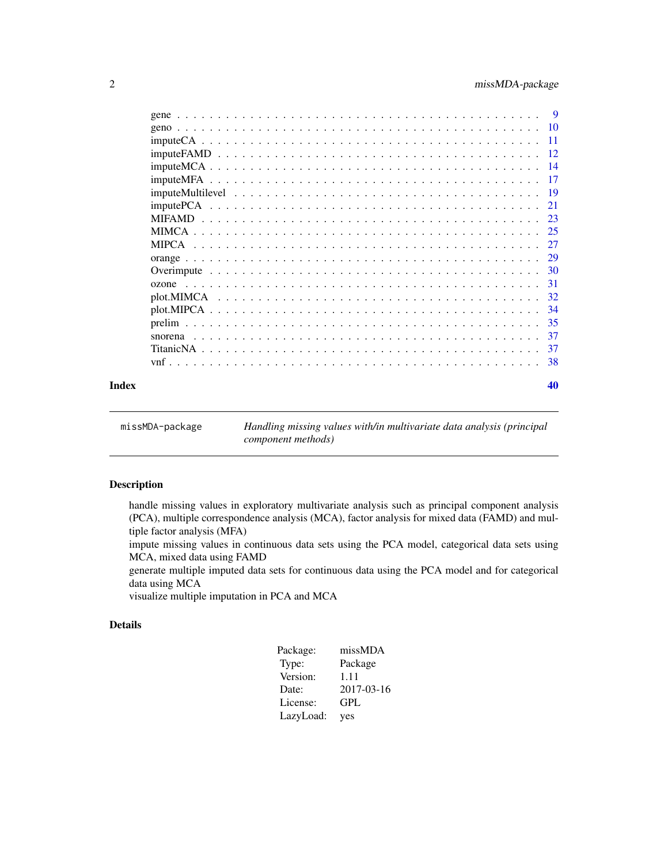<span id="page-1-0"></span>

|                                                                                                                         | $\overline{\mathbf{Q}}$ |
|-------------------------------------------------------------------------------------------------------------------------|-------------------------|
|                                                                                                                         | - 10                    |
|                                                                                                                         | -11                     |
|                                                                                                                         | 12                      |
|                                                                                                                         | - 14                    |
|                                                                                                                         | 17                      |
|                                                                                                                         | - 19                    |
|                                                                                                                         | 21                      |
|                                                                                                                         | -23                     |
|                                                                                                                         | 25                      |
|                                                                                                                         | 27                      |
|                                                                                                                         | 29                      |
|                                                                                                                         |                         |
| a dia kaominina mpikambana amin'ny fivondronan-kaominin'i Nouvelle-Aquitaine, ao amin'ny faritr'i Nouvelle-Aqu<br>ozone | - 31                    |
|                                                                                                                         | -32                     |
|                                                                                                                         | -34                     |
|                                                                                                                         | -35                     |
| snorena                                                                                                                 | 37                      |
|                                                                                                                         | 37                      |
|                                                                                                                         | 38                      |
|                                                                                                                         |                         |

#### $\blacksquare$

| missMDA-package | Handling missing values with/in multivariate data analysis (principal |
|-----------------|-----------------------------------------------------------------------|
|                 | component methods)                                                    |

# Description

handle missing values in exploratory multivariate analysis such as principal component analysis (PCA), multiple correspondence analysis (MCA), factor analysis for mixed data (FAMD) and multiple factor analysis (MFA)

impute missing values in continuous data sets using the PCA model, categorical data sets using MCA, mixed data using FAMD

generate multiple imputed data sets for continuous data using the PCA model and for categorical data using MCA

visualize multiple imputation in PCA and MCA

# Details

| Package:  | missMDA    |
|-----------|------------|
| Type:     | Package    |
| Version:  | 1.11       |
| Date:     | 2017-03-16 |
| License:  | GPL        |
| LazyLoad: | yes        |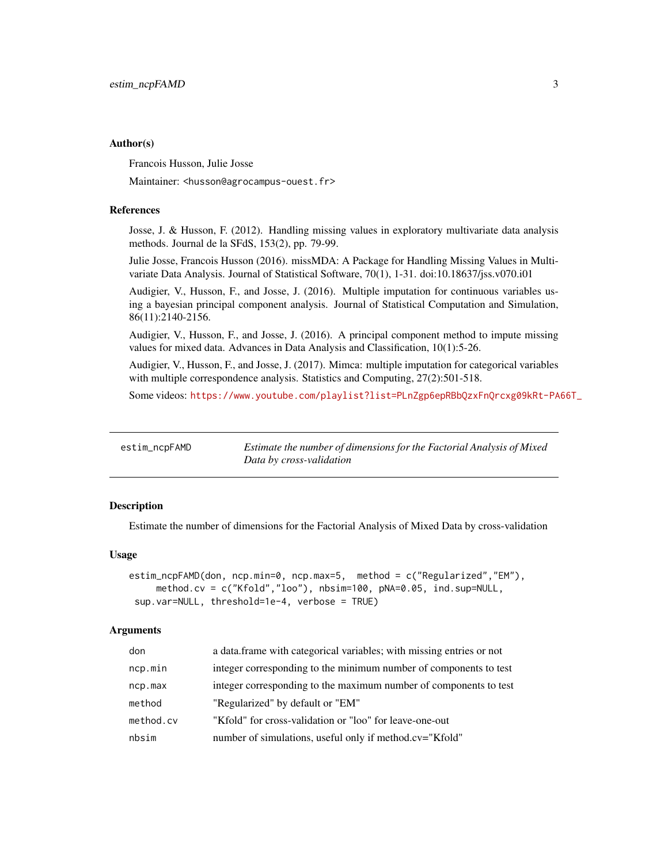#### <span id="page-2-0"></span>Author(s)

Francois Husson, Julie Josse

Maintainer: <husson@agrocampus-ouest.fr>

# References

Josse, J. & Husson, F. (2012). Handling missing values in exploratory multivariate data analysis methods. Journal de la SFdS, 153(2), pp. 79-99.

Julie Josse, Francois Husson (2016). missMDA: A Package for Handling Missing Values in Multivariate Data Analysis. Journal of Statistical Software, 70(1), 1-31. doi:10.18637/jss.v070.i01

Audigier, V., Husson, F., and Josse, J. (2016). Multiple imputation for continuous variables using a bayesian principal component analysis. Journal of Statistical Computation and Simulation, 86(11):2140-2156.

Audigier, V., Husson, F., and Josse, J. (2016). A principal component method to impute missing values for mixed data. Advances in Data Analysis and Classification, 10(1):5-26.

Audigier, V., Husson, F., and Josse, J. (2017). Mimca: multiple imputation for categorical variables with multiple correspondence analysis. Statistics and Computing, 27(2):501-518.

Some videos: [https://www.youtube.com/playlist?list=PLnZgp6epRBbQzxFnQrcxg09kRt-PA66T\\_](https://www.youtube.com/playlist?list=PLnZgp6epRBbQzxFnQrcxg09kRt-PA66T_)

<span id="page-2-1"></span>

| estim_ncpFAMD | Estimate the number of dimensions for the Factorial Analysis of Mixed |
|---------------|-----------------------------------------------------------------------|
|               | Data by cross-validation                                              |

#### Description

Estimate the number of dimensions for the Factorial Analysis of Mixed Data by cross-validation

# Usage

```
estim_ncpFAMD(don, ncp.min=0, ncp.max=5, method = c("Regularized","EM"),
     method.cv = c("Kfold","loo"), nbsim=100, pNA=0.05, ind.sup=NULL,
sup.var=NULL, threshold=1e-4, verbose = TRUE)
```

| don       | a data frame with categorical variables; with missing entries or not |
|-----------|----------------------------------------------------------------------|
| ncp.min   | integer corresponding to the minimum number of components to test    |
| ncp.max   | integer corresponding to the maximum number of components to test    |
| method    | "Regularized" by default or "EM"                                     |
| method.cv | "Kfold" for cross-validation or "loo" for leave-one-out              |
| nbsim     | number of simulations, useful only if method.cv="Kfold"              |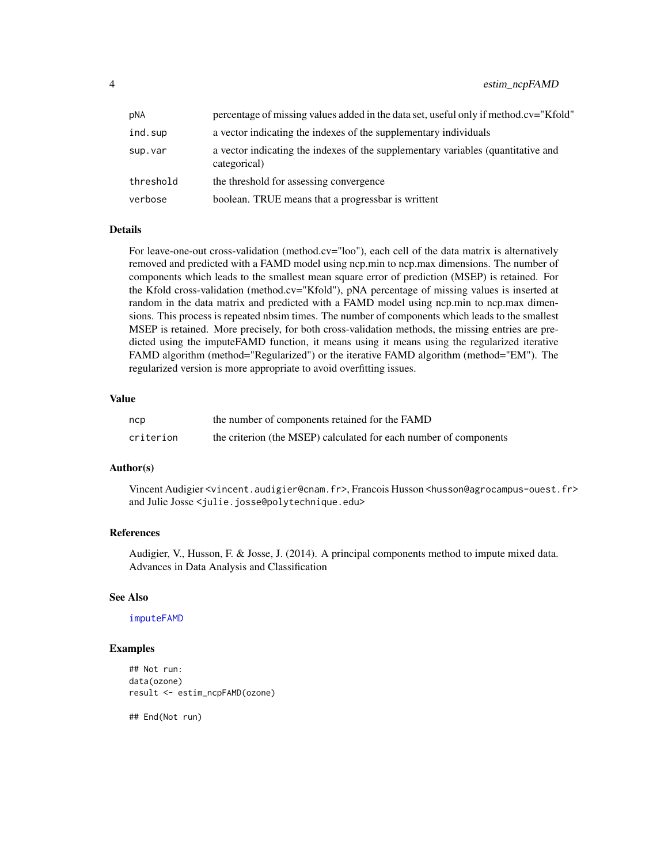<span id="page-3-0"></span>

| pNA       | percentage of missing values added in the data set, useful only if method.cv="Kfold"             |
|-----------|--------------------------------------------------------------------------------------------------|
| ind.sup   | a vector indicating the indexes of the supplementary individuals                                 |
| sup.var   | a vector indicating the indexes of the supplementary variables (quantitative and<br>categorical) |
| threshold | the threshold for assessing convergence                                                          |
| verbose   | boolean. TRUE means that a progressbar is writtent                                               |

For leave-one-out cross-validation (method.cv= $"loo"$ ), each cell of the data matrix is alternatively removed and predicted with a FAMD model using ncp.min to ncp.max dimensions. The number of components which leads to the smallest mean square error of prediction (MSEP) is retained. For the Kfold cross-validation (method.cv="Kfold"), pNA percentage of missing values is inserted at random in the data matrix and predicted with a FAMD model using ncp.min to ncp.max dimensions. This process is repeated nbsim times. The number of components which leads to the smallest MSEP is retained. More precisely, for both cross-validation methods, the missing entries are predicted using the imputeFAMD function, it means using it means using the regularized iterative FAMD algorithm (method="Regularized") or the iterative FAMD algorithm (method="EM"). The regularized version is more appropriate to avoid overfitting issues.

# Value

| ncp       | the number of components retained for the FAMD                    |
|-----------|-------------------------------------------------------------------|
| criterion | the criterion (the MSEP) calculated for each number of components |

#### Author(s)

Vincent Audigier <vincent.audigier@cnam.fr>, Francois Husson <husson@agrocampus-ouest.fr> and Julie Josse <julie.josse@polytechnique.edu>

# References

Audigier, V., Husson, F. & Josse, J. (2014). A principal components method to impute mixed data. Advances in Data Analysis and Classification

# See Also

[imputeFAMD](#page-11-1)

#### Examples

```
## Not run:
data(ozone)
result <- estim_ncpFAMD(ozone)
```
## End(Not run)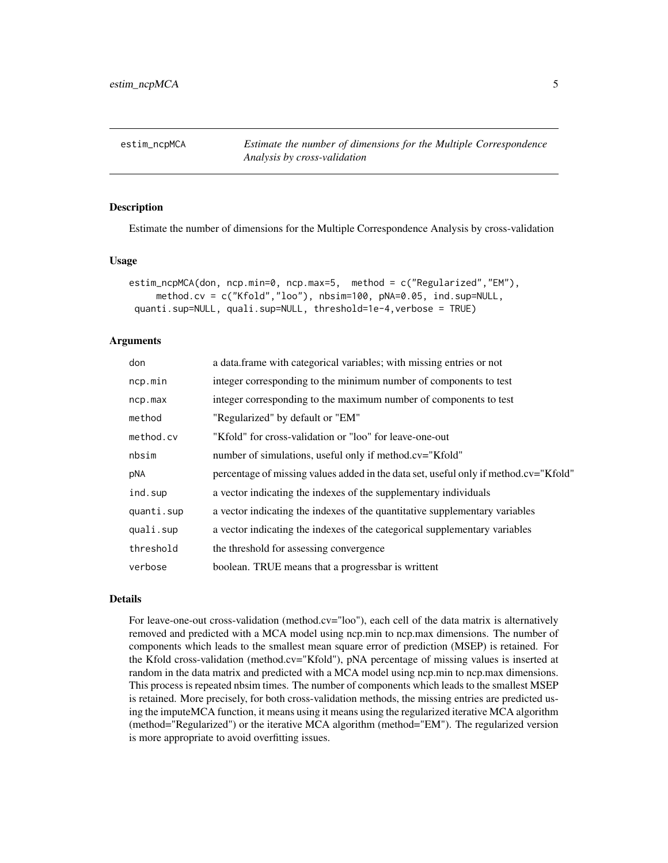<span id="page-4-1"></span><span id="page-4-0"></span>estim\_ncpMCA *Estimate the number of dimensions for the Multiple Correspondence Analysis by cross-validation*

# **Description**

Estimate the number of dimensions for the Multiple Correspondence Analysis by cross-validation

#### Usage

```
estim_ncpMCA(don, ncp.min=0, ncp.max=5, method = c("Regularized","EM"),
    method.cv = c("Kfold","loo"), nbsim=100, pNA=0.05, ind.sup=NULL,
quanti.sup=NULL, quali.sup=NULL, threshold=1e-4,verbose = TRUE)
```
# Arguments

| don        | a data.frame with categorical variables; with missing entries or not                 |
|------------|--------------------------------------------------------------------------------------|
| ncp.min    | integer corresponding to the minimum number of components to test                    |
| ncp.max    | integer corresponding to the maximum number of components to test                    |
| method     | "Regularized" by default or "EM"                                                     |
| method.cv  | "Kfold" for cross-validation or "loo" for leave-one-out                              |
| nbsim      | number of simulations, useful only if method.cv="Kfold"                              |
| pNA        | percentage of missing values added in the data set, useful only if method.cv="Kfold" |
| ind.sup    | a vector indicating the indexes of the supplementary individuals                     |
| quanti.sup | a vector indicating the indexes of the quantitative supplementary variables          |
| quali.sup  | a vector indicating the indexes of the categorical supplementary variables           |
| threshold  | the threshold for assessing convergence                                              |
| verbose    | boolean. TRUE means that a progressbar is writtent                                   |

# Details

For leave-one-out cross-validation (method.cv="loo"), each cell of the data matrix is alternatively removed and predicted with a MCA model using ncp.min to ncp.max dimensions. The number of components which leads to the smallest mean square error of prediction (MSEP) is retained. For the Kfold cross-validation (method.cv="Kfold"), pNA percentage of missing values is inserted at random in the data matrix and predicted with a MCA model using ncp.min to ncp.max dimensions. This process is repeated nbsim times. The number of components which leads to the smallest MSEP is retained. More precisely, for both cross-validation methods, the missing entries are predicted using the imputeMCA function, it means using it means using the regularized iterative MCA algorithm (method="Regularized") or the iterative MCA algorithm (method="EM"). The regularized version is more appropriate to avoid overfitting issues.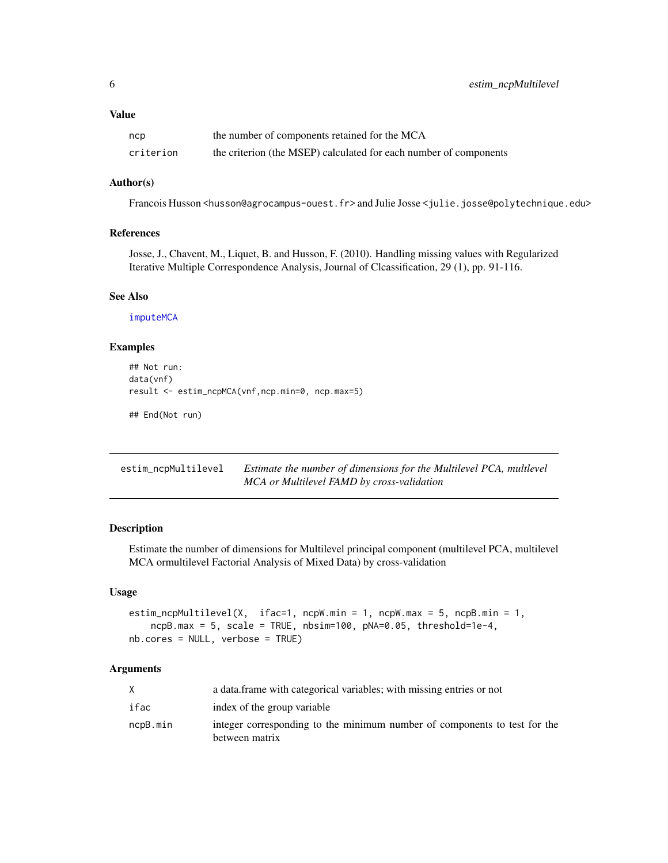<span id="page-5-0"></span>

| ncp       | the number of components retained for the MCA                     |
|-----------|-------------------------------------------------------------------|
| criterion | the criterion (the MSEP) calculated for each number of components |

#### Author(s)

Francois Husson <husson@agrocampus-ouest.fr> and Julie Josse <julie.josse@polytechnique.edu>

# References

Josse, J., Chavent, M., Liquet, B. and Husson, F. (2010). Handling missing values with Regularized Iterative Multiple Correspondence Analysis, Journal of Clcassification, 29 (1), pp. 91-116.

#### See Also

[imputeMCA](#page-13-1)

# Examples

```
## Not run:
data(vnf)
result <- estim_ncpMCA(vnf,ncp.min=0, ncp.max=5)
```
## End(Not run)

| estim_ncpMultilevel | Estimate the number of dimensions for the Multilevel PCA, multlevel |
|---------------------|---------------------------------------------------------------------|
|                     | MCA or Multilevel FAMD by cross-validation                          |

# Description

Estimate the number of dimensions for Multilevel principal component (multilevel PCA, multilevel MCA ormultilevel Factorial Analysis of Mixed Data) by cross-validation

# Usage

```
estim_ncpMultilevel(X, ifac=1, ncpW.min = 1, ncpW.max = 5, ncpB.min = 1,
    ncpB.max = 5, scale = TRUE, nbsim=100, pNA=0.05, threshold=1e-4,
nb.cores = NULL, verbose = TRUE)
```

|          | a data frame with categorical variables; with missing entries or not                        |
|----------|---------------------------------------------------------------------------------------------|
| ifac     | index of the group variable                                                                 |
| ncpB.min | integer corresponding to the minimum number of components to test for the<br>between matrix |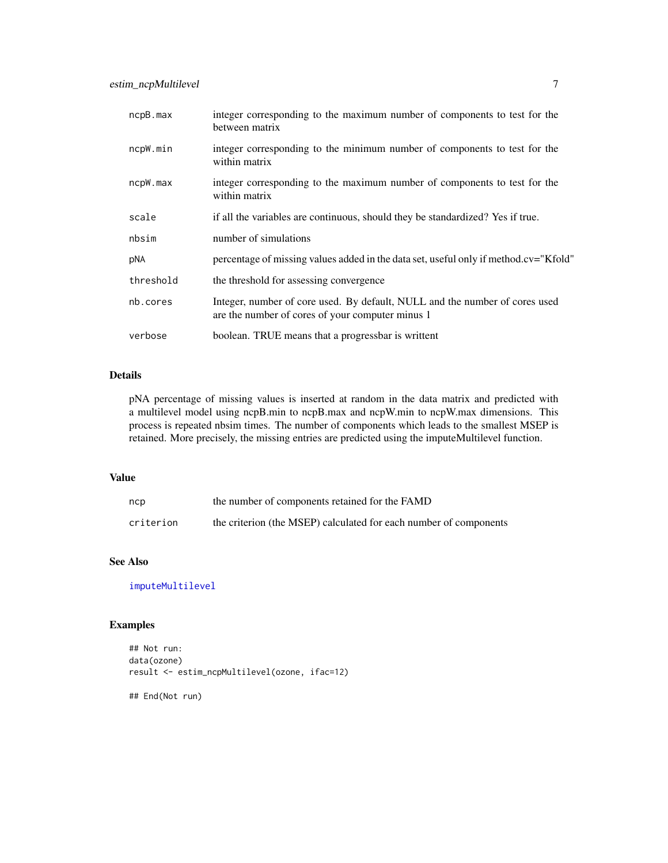<span id="page-6-0"></span>

| ncpB.max  | integer corresponding to the maximum number of components to test for the<br>between matrix                                     |
|-----------|---------------------------------------------------------------------------------------------------------------------------------|
| ncpW.min  | integer corresponding to the minimum number of components to test for the<br>within matrix                                      |
| ncpW.max  | integer corresponding to the maximum number of components to test for the<br>within matrix                                      |
| scale     | if all the variables are continuous, should they be standardized? Yes if true.                                                  |
| nbsim     | number of simulations                                                                                                           |
| pNA       | percentage of missing values added in the data set, useful only if method.cv="Kfold"                                            |
| threshold | the threshold for assessing convergence                                                                                         |
| nb.cores  | Integer, number of core used. By default, NULL and the number of cores used<br>are the number of cores of your computer minus 1 |
| verbose   | boolean. TRUE means that a progressbar is writtent                                                                              |

pNA percentage of missing values is inserted at random in the data matrix and predicted with a multilevel model using ncpB.min to ncpB.max and ncpW.min to ncpW.max dimensions. This process is repeated nbsim times. The number of components which leads to the smallest MSEP is retained. More precisely, the missing entries are predicted using the imputeMultilevel function.

#### Value

| ncp       | the number of components retained for the FAMD                    |
|-----------|-------------------------------------------------------------------|
| criterion | the criterion (the MSEP) calculated for each number of components |

# See Also

[imputeMultilevel](#page-18-1)

# Examples

```
## Not run:
data(ozone)
result <- estim_ncpMultilevel(ozone, ifac=12)
```
## End(Not run)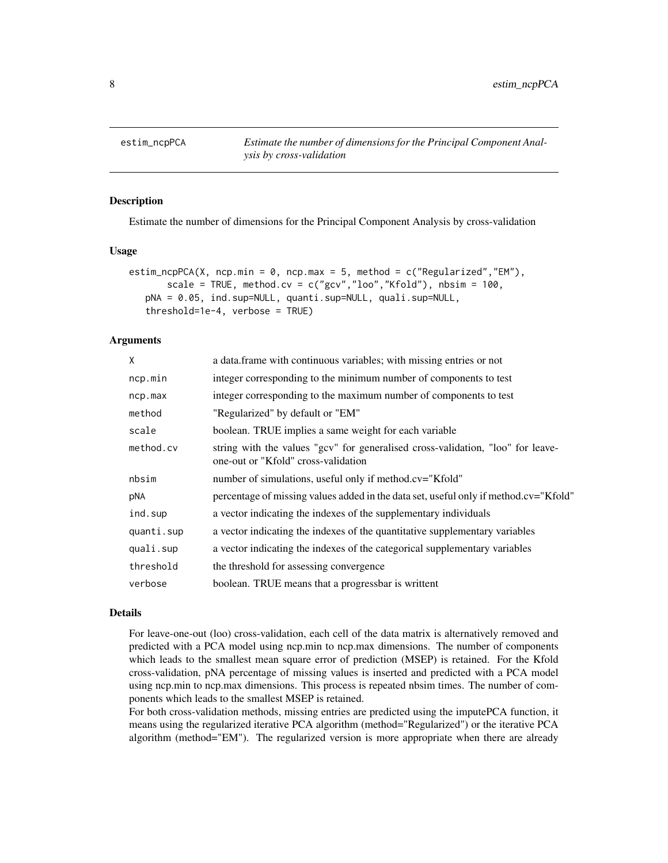<span id="page-7-1"></span><span id="page-7-0"></span>

#### Description

Estimate the number of dimensions for the Principal Component Analysis by cross-validation

#### Usage

```
estim_ncpPCA(X, ncp.min = 0, ncp.max = 5, method = c("Regularized", "EM"),
       scale = TRUE, method.cv = c("gcv", "loo", "Kfold"), nbsim = 100,pNA = 0.05, ind.sup=NULL, quanti.sup=NULL, quali.sup=NULL,
   threshold=1e-4, verbose = TRUE)
```
#### **Arguments**

| X          | a data. frame with continuous variables; with missing entries or not                                                   |
|------------|------------------------------------------------------------------------------------------------------------------------|
| ncp.min    | integer corresponding to the minimum number of components to test                                                      |
| ncp.max    | integer corresponding to the maximum number of components to test                                                      |
| method     | "Regularized" by default or "EM"                                                                                       |
| scale      | boolean. TRUE implies a same weight for each variable                                                                  |
| method.cv  | string with the values "gcv" for generalised cross-validation, "loo" for leave-<br>one-out or "Kfold" cross-validation |
| nbsim      | number of simulations, useful only if method.cv="Kfold"                                                                |
| pNA        | percentage of missing values added in the data set, useful only if method.cv="Kfold"                                   |
| ind.sup    | a vector indicating the indexes of the supplementary individuals                                                       |
| quanti.sup | a vector indicating the indexes of the quantitative supplementary variables                                            |
| quali.sup  | a vector indicating the indexes of the categorical supplementary variables                                             |
| threshold  | the threshold for assessing convergence                                                                                |
| verbose    | boolean. TRUE means that a progressbar is writtent                                                                     |
|            |                                                                                                                        |

#### Details

For leave-one-out (loo) cross-validation, each cell of the data matrix is alternatively removed and predicted with a PCA model using ncp.min to ncp.max dimensions. The number of components which leads to the smallest mean square error of prediction (MSEP) is retained. For the Kfold cross-validation, pNA percentage of missing values is inserted and predicted with a PCA model using ncp.min to ncp.max dimensions. This process is repeated nbsim times. The number of components which leads to the smallest MSEP is retained.

For both cross-validation methods, missing entries are predicted using the imputePCA function, it means using the regularized iterative PCA algorithm (method="Regularized") or the iterative PCA algorithm (method="EM"). The regularized version is more appropriate when there are already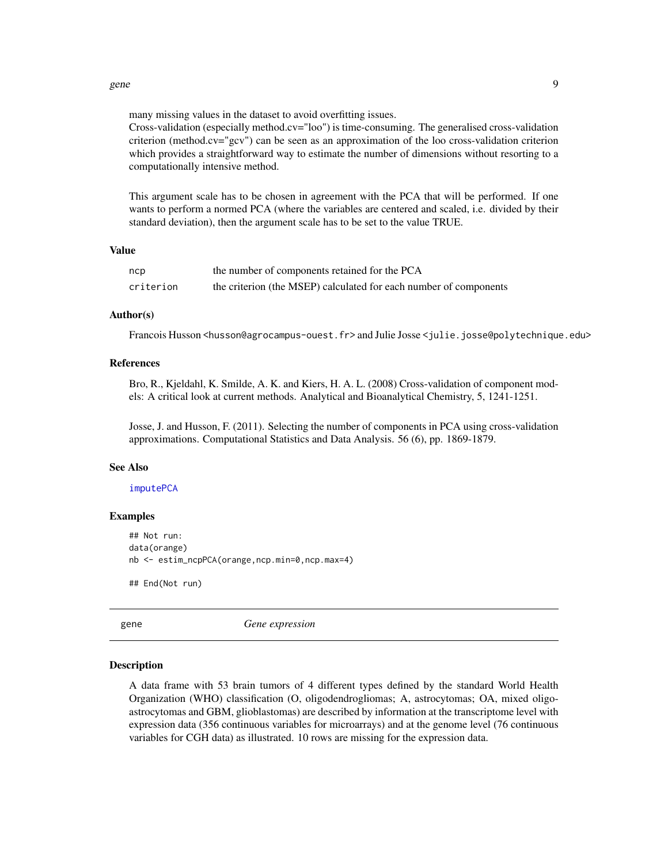#### <span id="page-8-0"></span>gene to the set of the set of the set of the set of the set of the set of the set of the set of the set of the set of the set of the set of the set of the set of the set of the set of the set of the set of the set of the s

many missing values in the dataset to avoid overfitting issues.

Cross-validation (especially method.cv="loo") is time-consuming. The generalised cross-validation criterion (method.cv="gcv") can be seen as an approximation of the loo cross-validation criterion which provides a straightforward way to estimate the number of dimensions without resorting to a computationally intensive method.

This argument scale has to be chosen in agreement with the PCA that will be performed. If one wants to perform a normed PCA (where the variables are centered and scaled, i.e. divided by their standard deviation), then the argument scale has to be set to the value TRUE.

# Value

| ncp       | the number of components retained for the PCA                     |
|-----------|-------------------------------------------------------------------|
| criterion | the criterion (the MSEP) calculated for each number of components |

#### Author(s)

Francois Husson <husson@agrocampus-ouest.fr> and Julie Josse <julie.josse@polytechnique.edu>

#### References

Bro, R., Kjeldahl, K. Smilde, A. K. and Kiers, H. A. L. (2008) Cross-validation of component models: A critical look at current methods. Analytical and Bioanalytical Chemistry, 5, 1241-1251.

Josse, J. and Husson, F. (2011). Selecting the number of components in PCA using cross-validation approximations. Computational Statistics and Data Analysis. 56 (6), pp. 1869-1879.

#### See Also

#### [imputePCA](#page-20-1)

# Examples

```
## Not run:
data(orange)
nb <- estim_ncpPCA(orange,ncp.min=0,ncp.max=4)
## End(Not run)
```
gene *Gene expression*

#### Description

A data frame with 53 brain tumors of 4 different types defined by the standard World Health Organization (WHO) classification (O, oligodendrogliomas; A, astrocytomas; OA, mixed oligoastrocytomas and GBM, glioblastomas) are described by information at the transcriptome level with expression data (356 continuous variables for microarrays) and at the genome level (76 continuous variables for CGH data) as illustrated. 10 rows are missing for the expression data.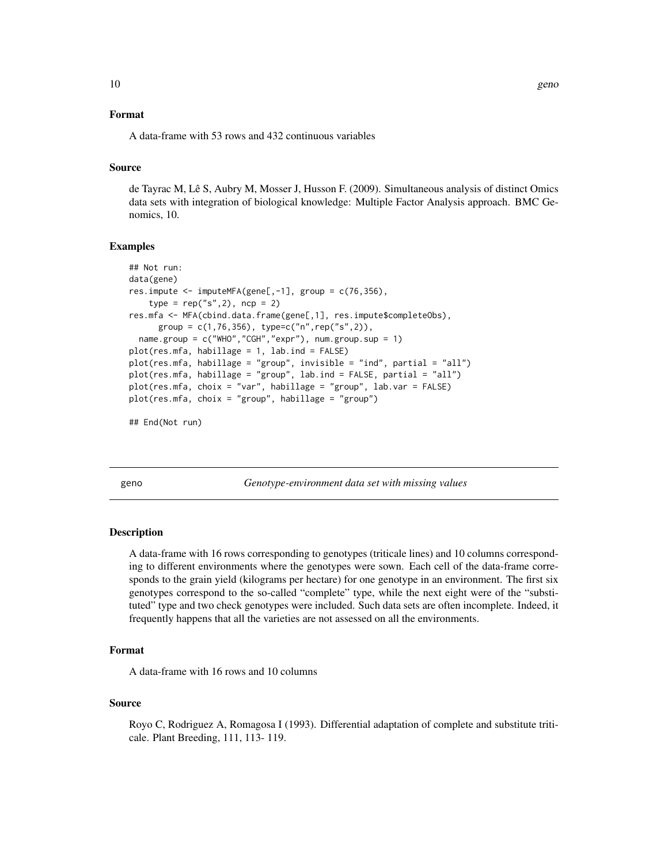#### <span id="page-9-0"></span>Format

A data-frame with 53 rows and 432 continuous variables

# Source

de Tayrac M, Lê S, Aubry M, Mosser J, Husson F. (2009). Simultaneous analysis of distinct Omics data sets with integration of biological knowledge: Multiple Factor Analysis approach. BMC Genomics, 10.

#### Examples

```
## Not run:
data(gene)
res.impute <- imputeMFA(gene[,-1], group = c(76, 356),
    type = rep("s", 2), ncp = 2)res.mfa <- MFA(cbind.data.frame(gene[,1], res.impute$completeObs),
      group = c(1, 76, 356), type = c("n", rep("s", 2)),name.group = c("WHO","CGH","expr"), num.group.sup = 1)
plot(res.mfa, habillage = 1, lab.ind = FALSE)
plot(res.mfa, habillage = "group", invisible = "ind", partial = "all")
plot(res.mfa, habillage = "group", lab.ind = FALSE, partial = "all")
plot(res.mfa, choix = "var", habillage = "group", lab.var = FALSE)
plot(res.mfa, choix = "group", habillage = "group")
```
## End(Not run)

geno *Genotype-environment data set with missing values*

#### Description

A data-frame with 16 rows corresponding to genotypes (triticale lines) and 10 columns corresponding to different environments where the genotypes were sown. Each cell of the data-frame corresponds to the grain yield (kilograms per hectare) for one genotype in an environment. The first six genotypes correspond to the so-called "complete" type, while the next eight were of the "substituted" type and two check genotypes were included. Such data sets are often incomplete. Indeed, it frequently happens that all the varieties are not assessed on all the environments.

#### Format

A data-frame with 16 rows and 10 columns

#### Source

Royo C, Rodriguez A, Romagosa I (1993). Differential adaptation of complete and substitute triticale. Plant Breeding, 111, 113- 119.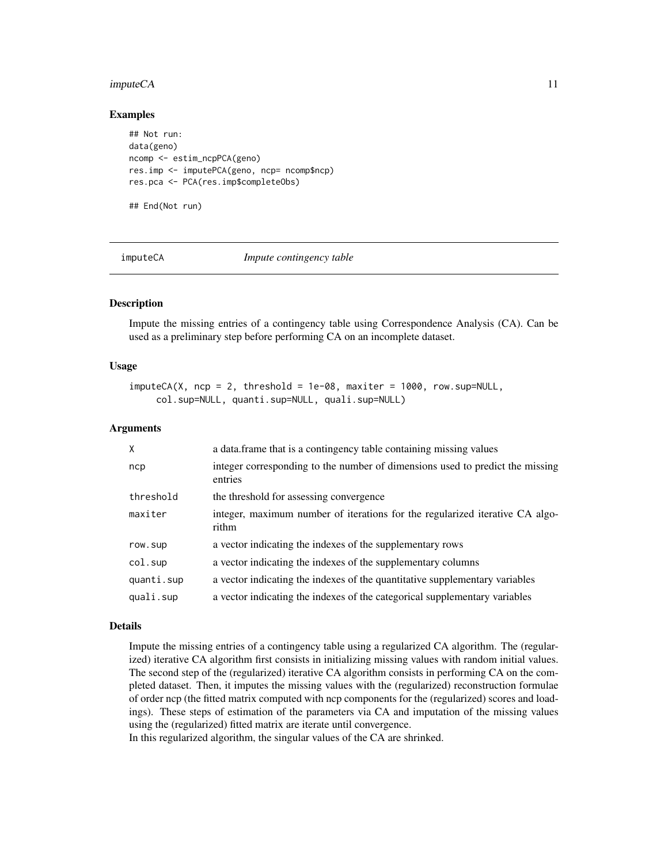#### <span id="page-10-0"></span>imputeCA 11

#### Examples

```
## Not run:
data(geno)
ncomp <- estim_ncpPCA(geno)
res.imp <- imputePCA(geno, ncp= ncomp$ncp)
res.pca <- PCA(res.imp$completeObs)
## End(Not run)
```
imputeCA *Impute contingency table*

#### Description

Impute the missing entries of a contingency table using Correspondence Analysis (CA). Can be used as a preliminary step before performing CA on an incomplete dataset.

#### Usage

```
imputeCA(X, nep = 2, threshold = 1e-08, maxiter = 1000, row.sub=NULL,col.sup=NULL, quanti.sup=NULL, quali.sup=NULL)
```
## Arguments

| $\mathsf{X}$ | a data. frame that is a contingency table containing missing values                      |
|--------------|------------------------------------------------------------------------------------------|
| ncp          | integer corresponding to the number of dimensions used to predict the missing<br>entries |
| threshold    | the threshold for assessing convergence                                                  |
| maxiter      | integer, maximum number of iterations for the regularized iterative CA algo-<br>rithm    |
| row.sup      | a vector indicating the indexes of the supplementary rows                                |
| col.sup      | a vector indicating the indexes of the supplementary columns                             |
| quanti.sup   | a vector indicating the indexes of the quantitative supplementary variables              |
| quali.sup    | a vector indicating the indexes of the categorical supplementary variables               |

#### Details

Impute the missing entries of a contingency table using a regularized CA algorithm. The (regularized) iterative CA algorithm first consists in initializing missing values with random initial values. The second step of the (regularized) iterative CA algorithm consists in performing CA on the completed dataset. Then, it imputes the missing values with the (regularized) reconstruction formulae of order ncp (the fitted matrix computed with ncp components for the (regularized) scores and loadings). These steps of estimation of the parameters via CA and imputation of the missing values using the (regularized) fitted matrix are iterate until convergence.

In this regularized algorithm, the singular values of the CA are shrinked.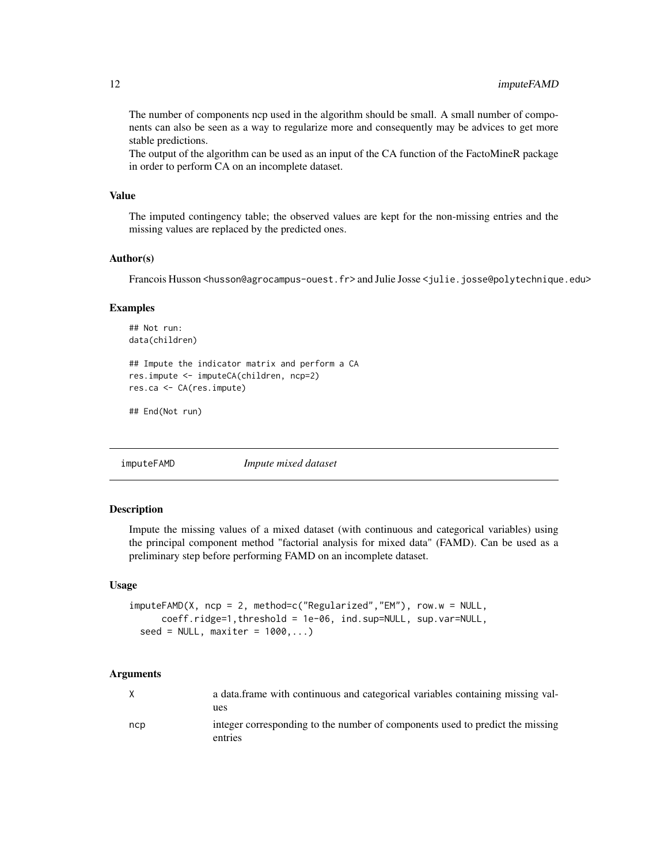<span id="page-11-0"></span>The number of components ncp used in the algorithm should be small. A small number of components can also be seen as a way to regularize more and consequently may be advices to get more stable predictions.

The output of the algorithm can be used as an input of the CA function of the FactoMineR package in order to perform CA on an incomplete dataset.

#### Value

The imputed contingency table; the observed values are kept for the non-missing entries and the missing values are replaced by the predicted ones.

#### Author(s)

Francois Husson <husson@agrocampus-ouest.fr> and Julie Josse <julie.josse@polytechnique.edu>

#### Examples

```
## Not run:
data(children)
## Impute the indicator matrix and perform a CA
res.impute <- imputeCA(children, ncp=2)
res.ca <- CA(res.impute)
```

```
## End(Not run)
```
<span id="page-11-1"></span>imputeFAMD *Impute mixed dataset*

# Description

Impute the missing values of a mixed dataset (with continuous and categorical variables) using the principal component method "factorial analysis for mixed data" (FAMD). Can be used as a preliminary step before performing FAMD on an incomplete dataset.

#### Usage

```
imputeFAMD(X, ncp = 2, method=c("Regularized","EM"), row.w = NULL,
     coeff.ridge=1,threshold = 1e-06, ind.sup=NULL, sup.var=NULL,
 seed = NULL, maxiter = 1000,...)
```

| X   | a data frame with continuous and categorical variables containing missing val-           |
|-----|------------------------------------------------------------------------------------------|
|     | ues                                                                                      |
| ncp | integer corresponding to the number of components used to predict the missing<br>entries |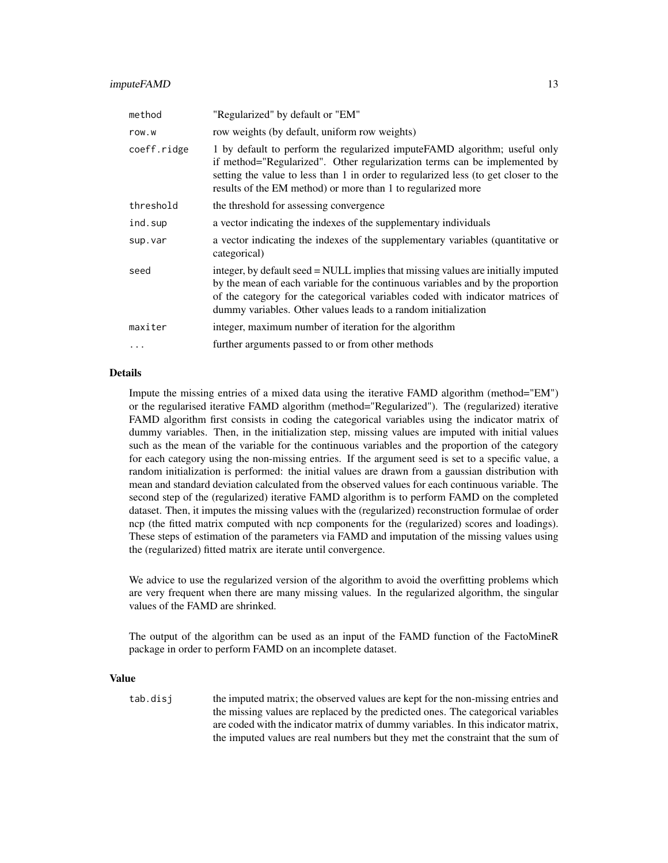| "Regularized" by default or "EM"                                                                                                                                                                                                                                                                                         |
|--------------------------------------------------------------------------------------------------------------------------------------------------------------------------------------------------------------------------------------------------------------------------------------------------------------------------|
| row weights (by default, uniform row weights)                                                                                                                                                                                                                                                                            |
| 1 by default to perform the regularized impute FAMD algorithm; useful only<br>if method="Regularized". Other regularization terms can be implemented by<br>setting the value to less than 1 in order to regularized less (to get closer to the<br>results of the EM method) or more than 1 to regularized more           |
| the threshold for assessing convergence                                                                                                                                                                                                                                                                                  |
| a vector indicating the indexes of the supplementary individuals                                                                                                                                                                                                                                                         |
| a vector indicating the indexes of the supplementary variables (quantitative or<br>categorical)                                                                                                                                                                                                                          |
| integer, by default seed = NULL implies that missing values are initially imputed<br>by the mean of each variable for the continuous variables and by the proportion<br>of the category for the categorical variables coded with indicator matrices of<br>dummy variables. Other values leads to a random initialization |
| integer, maximum number of iteration for the algorithm                                                                                                                                                                                                                                                                   |
| further arguments passed to or from other methods                                                                                                                                                                                                                                                                        |
|                                                                                                                                                                                                                                                                                                                          |

Impute the missing entries of a mixed data using the iterative FAMD algorithm (method="EM") or the regularised iterative FAMD algorithm (method="Regularized"). The (regularized) iterative FAMD algorithm first consists in coding the categorical variables using the indicator matrix of dummy variables. Then, in the initialization step, missing values are imputed with initial values such as the mean of the variable for the continuous variables and the proportion of the category for each category using the non-missing entries. If the argument seed is set to a specific value, a random initialization is performed: the initial values are drawn from a gaussian distribution with mean and standard deviation calculated from the observed values for each continuous variable. The second step of the (regularized) iterative FAMD algorithm is to perform FAMD on the completed dataset. Then, it imputes the missing values with the (regularized) reconstruction formulae of order ncp (the fitted matrix computed with ncp components for the (regularized) scores and loadings). These steps of estimation of the parameters via FAMD and imputation of the missing values using the (regularized) fitted matrix are iterate until convergence.

We advice to use the regularized version of the algorithm to avoid the overfitting problems which are very frequent when there are many missing values. In the regularized algorithm, the singular values of the FAMD are shrinked.

The output of the algorithm can be used as an input of the FAMD function of the FactoMineR package in order to perform FAMD on an incomplete dataset.

#### Value

tab.disj the imputed matrix; the observed values are kept for the non-missing entries and the missing values are replaced by the predicted ones. The categorical variables are coded with the indicator matrix of dummy variables. In this indicator matrix, the imputed values are real numbers but they met the constraint that the sum of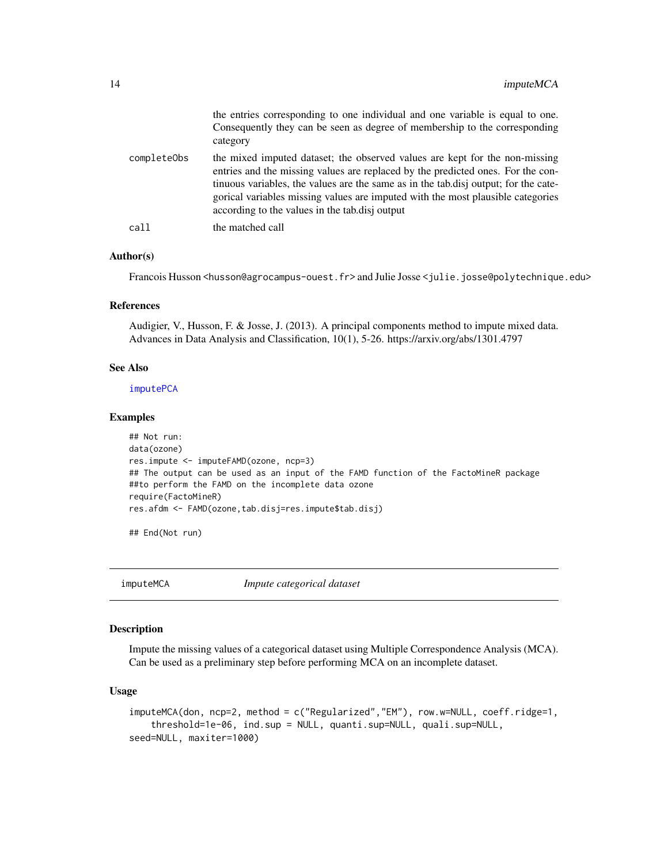<span id="page-13-0"></span>

|             | the entries corresponding to one individual and one variable is equal to one.<br>Consequently they can be seen as degree of membership to the corresponding<br>category                                                                                                                                                                                                                    |
|-------------|--------------------------------------------------------------------------------------------------------------------------------------------------------------------------------------------------------------------------------------------------------------------------------------------------------------------------------------------------------------------------------------------|
| completeObs | the mixed imputed dataset; the observed values are kept for the non-missing<br>entries and the missing values are replaced by the predicted ones. For the con-<br>tinuous variables, the values are the same as in the tab.disj output; for the cate-<br>gorical variables missing values are imputed with the most plausible categories<br>according to the values in the tab.disj output |
| call        | the matched call                                                                                                                                                                                                                                                                                                                                                                           |

#### Author(s)

Francois Husson <husson@agrocampus-ouest.fr> and Julie Josse <julie.josse@polytechnique.edu>

#### References

Audigier, V., Husson, F. & Josse, J. (2013). A principal components method to impute mixed data. Advances in Data Analysis and Classification, 10(1), 5-26. https://arxiv.org/abs/1301.4797

#### See Also

[imputePCA](#page-20-1)

#### Examples

```
## Not run:
data(ozone)
res.impute <- imputeFAMD(ozone, ncp=3)
## The output can be used as an input of the FAMD function of the FactoMineR package
##to perform the FAMD on the incomplete data ozone
require(FactoMineR)
res.afdm <- FAMD(ozone,tab.disj=res.impute$tab.disj)
```
## End(Not run)

imputeMCA *Impute categorical dataset*

# Description

Impute the missing values of a categorical dataset using Multiple Correspondence Analysis (MCA). Can be used as a preliminary step before performing MCA on an incomplete dataset.

#### Usage

```
imputeMCA(don, ncp=2, method = c("Regularized","EM"), row.w=NULL, coeff.ridge=1,
   threshold=1e-06, ind.sup = NULL, quanti.sup=NULL, quali.sup=NULL,
seed=NULL, maxiter=1000)
```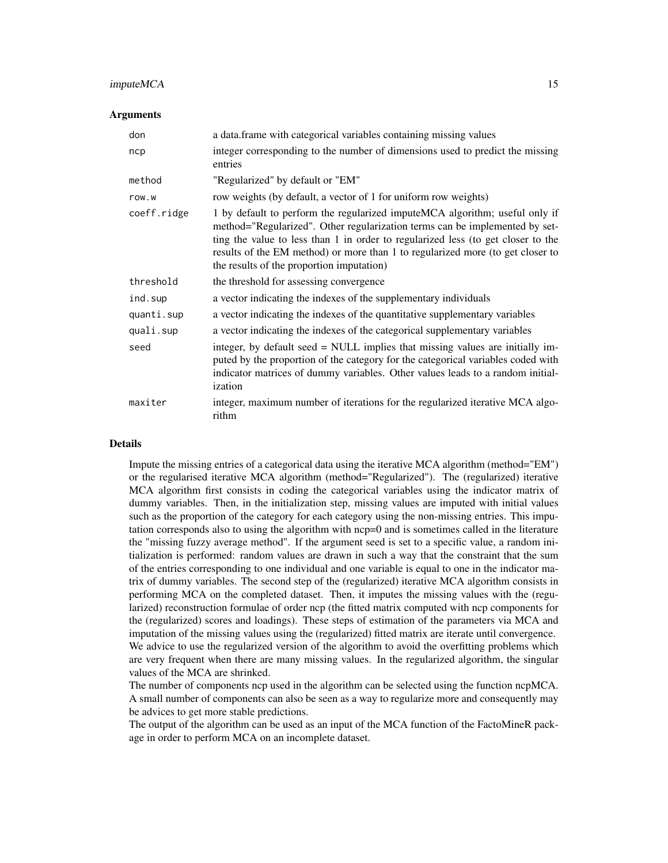#### imputeMCA 15

#### Arguments

| don         | a data.frame with categorical variables containing missing values                                                                                                                                                                                                                                                                                                             |
|-------------|-------------------------------------------------------------------------------------------------------------------------------------------------------------------------------------------------------------------------------------------------------------------------------------------------------------------------------------------------------------------------------|
| ncp         | integer corresponding to the number of dimensions used to predict the missing<br>entries                                                                                                                                                                                                                                                                                      |
| method      | "Regularized" by default or "EM"                                                                                                                                                                                                                                                                                                                                              |
| row.w       | row weights (by default, a vector of 1 for uniform row weights)                                                                                                                                                                                                                                                                                                               |
| coeff.ridge | 1 by default to perform the regularized imputeMCA algorithm; useful only if<br>method="Regularized". Other regularization terms can be implemented by set-<br>ting the value to less than 1 in order to regularized less (to get closer to the<br>results of the EM method) or more than 1 to regularized more (to get closer to<br>the results of the proportion imputation) |
| threshold   | the threshold for assessing convergence                                                                                                                                                                                                                                                                                                                                       |
| ind.sup     | a vector indicating the indexes of the supplementary individuals                                                                                                                                                                                                                                                                                                              |
| quanti.sup  | a vector indicating the indexes of the quantitative supplementary variables                                                                                                                                                                                                                                                                                                   |
| quali.sup   | a vector indicating the indexes of the categorical supplementary variables                                                                                                                                                                                                                                                                                                    |
| seed        | integer, by default seed = NULL implies that missing values are initially im-<br>puted by the proportion of the category for the categorical variables coded with<br>indicator matrices of dummy variables. Other values leads to a random initial-<br>ization                                                                                                                |
| maxiter     | integer, maximum number of iterations for the regularized iterative MCA algo-<br>rithm                                                                                                                                                                                                                                                                                        |

## Details

Impute the missing entries of a categorical data using the iterative MCA algorithm (method="EM") or the regularised iterative MCA algorithm (method="Regularized"). The (regularized) iterative MCA algorithm first consists in coding the categorical variables using the indicator matrix of dummy variables. Then, in the initialization step, missing values are imputed with initial values such as the proportion of the category for each category using the non-missing entries. This imputation corresponds also to using the algorithm with ncp=0 and is sometimes called in the literature the "missing fuzzy average method". If the argument seed is set to a specific value, a random initialization is performed: random values are drawn in such a way that the constraint that the sum of the entries corresponding to one individual and one variable is equal to one in the indicator matrix of dummy variables. The second step of the (regularized) iterative MCA algorithm consists in performing MCA on the completed dataset. Then, it imputes the missing values with the (regularized) reconstruction formulae of order ncp (the fitted matrix computed with ncp components for the (regularized) scores and loadings). These steps of estimation of the parameters via MCA and imputation of the missing values using the (regularized) fitted matrix are iterate until convergence. We advice to use the regularized version of the algorithm to avoid the overfitting problems which are very frequent when there are many missing values. In the regularized algorithm, the singular values of the MCA are shrinked.

The number of components ncp used in the algorithm can be selected using the function ncpMCA. A small number of components can also be seen as a way to regularize more and consequently may be advices to get more stable predictions.

The output of the algorithm can be used as an input of the MCA function of the FactoMineR package in order to perform MCA on an incomplete dataset.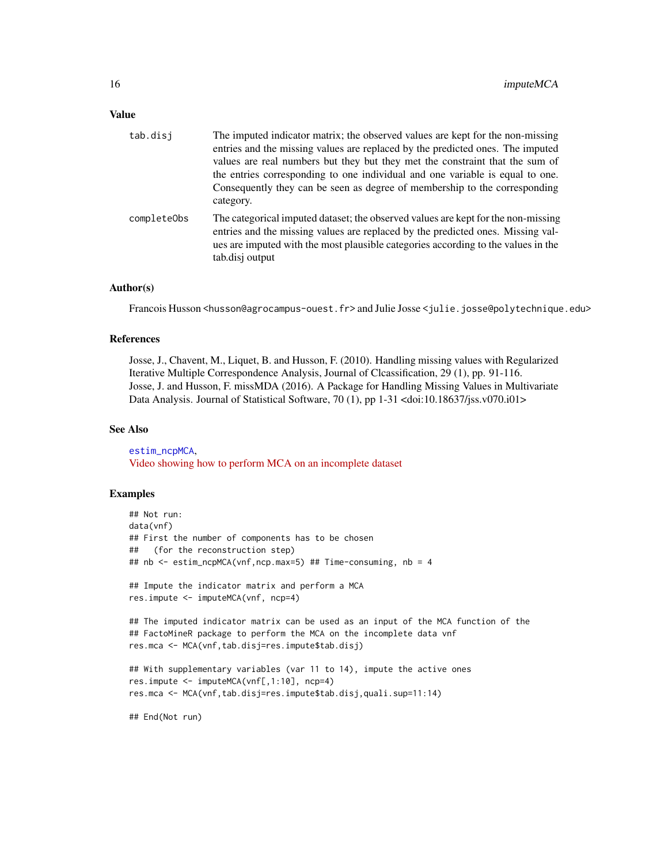# <span id="page-15-0"></span>Value

| tab.disi    | The imputed indicator matrix; the observed values are kept for the non-missing                                                                                                                                                                                               |
|-------------|------------------------------------------------------------------------------------------------------------------------------------------------------------------------------------------------------------------------------------------------------------------------------|
|             | entries and the missing values are replaced by the predicted ones. The imputed<br>values are real numbers but they but they met the constraint that the sum of                                                                                                               |
|             | the entries corresponding to one individual and one variable is equal to one.<br>Consequently they can be seen as degree of membership to the corresponding<br>category.                                                                                                     |
| completeObs | The categorical imputed dataset; the observed values are kept for the non-missing<br>entries and the missing values are replaced by the predicted ones. Missing val-<br>ues are imputed with the most plausible categories according to the values in the<br>tab.disj output |

# Author(s)

Francois Husson <husson@agrocampus-ouest.fr> and Julie Josse <julie.josse@polytechnique.edu>

#### References

Josse, J., Chavent, M., Liquet, B. and Husson, F. (2010). Handling missing values with Regularized Iterative Multiple Correspondence Analysis, Journal of Clcassification, 29 (1), pp. 91-116. Josse, J. and Husson, F. missMDA (2016). A Package for Handling Missing Values in Multivariate Data Analysis. Journal of Statistical Software, 70 (1), pp 1-31 <doi:10.18637/jss.v070.i01>

## See Also

[estim\\_ncpMCA](#page-4-1), [Video showing how to perform MCA on an incomplete dataset](https://www.youtube.com/watch?v=_Wa6R4PM9dY&list=PLnZgp6epRBbQzxFnQrcxg09kRt-PA66T_&index=1)

#### Examples

```
## Not run:
data(vnf)
## First the number of components has to be chosen
## (for the reconstruction step)
## nb <- estim_ncpMCA(vnf,ncp.max=5) ## Time-consuming, nb = 4
## Impute the indicator matrix and perform a MCA
res.impute <- imputeMCA(vnf, ncp=4)
## The imputed indicator matrix can be used as an input of the MCA function of the
## FactoMineR package to perform the MCA on the incomplete data vnf
res.mca <- MCA(vnf,tab.disj=res.impute$tab.disj)
## With supplementary variables (var 11 to 14), impute the active ones
res.impute <- imputeMCA(vnf[,1:10], ncp=4)
res.mca <- MCA(vnf,tab.disj=res.impute$tab.disj,quali.sup=11:14)
## End(Not run)
```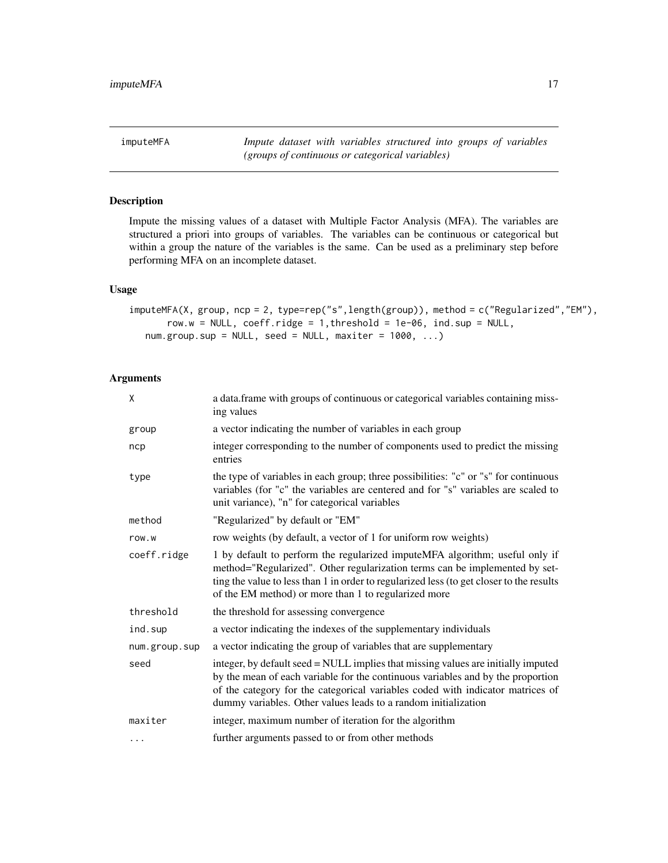<span id="page-16-0"></span>imputeMFA *Impute dataset with variables structured into groups of variables (groups of continuous or categorical variables)*

# Description

Impute the missing values of a dataset with Multiple Factor Analysis (MFA). The variables are structured a priori into groups of variables. The variables can be continuous or categorical but within a group the nature of the variables is the same. Can be used as a preliminary step before performing MFA on an incomplete dataset.

# Usage

```
imputeMFA(X, group, ncp = 2, type=rep("s",length(group)), method = c("Regularized","EM"),
       row.w = NULL, coeff.ridge = 1, threshold = 1e-06, ind.sub = NULL,
  num.group.sub = NULL, seed = NULL, maxiter = 1000, ...)
```

| X             | a data.frame with groups of continuous or categorical variables containing miss-<br>ing values                                                                                                                                                                                                                           |
|---------------|--------------------------------------------------------------------------------------------------------------------------------------------------------------------------------------------------------------------------------------------------------------------------------------------------------------------------|
| group         | a vector indicating the number of variables in each group                                                                                                                                                                                                                                                                |
| ncp           | integer corresponding to the number of components used to predict the missing<br>entries                                                                                                                                                                                                                                 |
| type          | the type of variables in each group; three possibilities: "c" or "s" for continuous<br>variables (for "c" the variables are centered and for "s" variables are scaled to<br>unit variance), "n" for categorical variables                                                                                                |
| method        | "Regularized" by default or "EM"                                                                                                                                                                                                                                                                                         |
| row.w         | row weights (by default, a vector of 1 for uniform row weights)                                                                                                                                                                                                                                                          |
| coeff.ridge   | 1 by default to perform the regularized imputeMFA algorithm; useful only if<br>method="Regularized". Other regularization terms can be implemented by set-<br>ting the value to less than 1 in order to regularized less (to get closer to the results<br>of the EM method) or more than 1 to regularized more           |
| threshold     | the threshold for assessing convergence                                                                                                                                                                                                                                                                                  |
| ind.sup       | a vector indicating the indexes of the supplementary individuals                                                                                                                                                                                                                                                         |
| num.group.sup | a vector indicating the group of variables that are supplementary                                                                                                                                                                                                                                                        |
| seed          | integer, by default seed = NULL implies that missing values are initially imputed<br>by the mean of each variable for the continuous variables and by the proportion<br>of the category for the categorical variables coded with indicator matrices of<br>dummy variables. Other values leads to a random initialization |
| maxiter       | integer, maximum number of iteration for the algorithm                                                                                                                                                                                                                                                                   |
| $\cdots$      | further arguments passed to or from other methods                                                                                                                                                                                                                                                                        |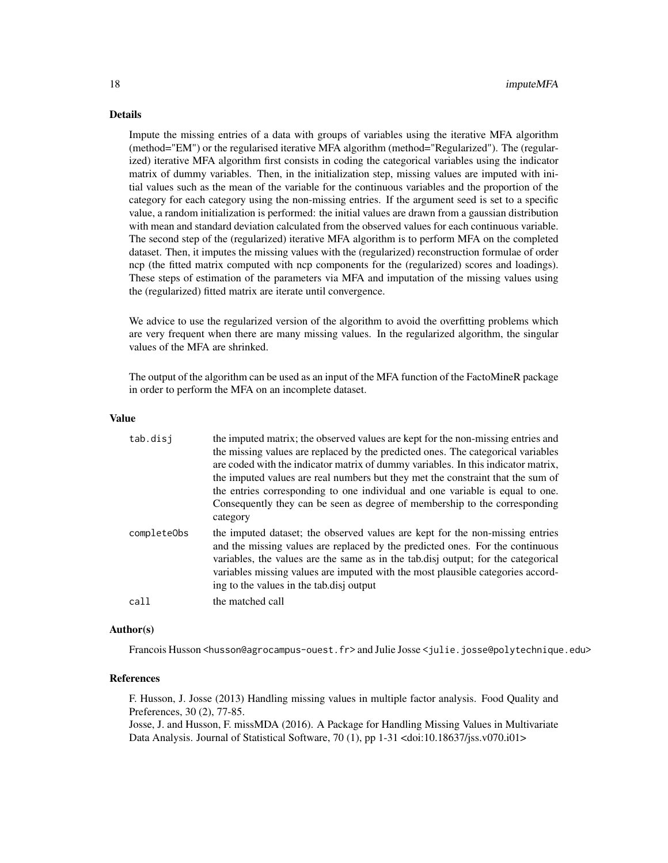Impute the missing entries of a data with groups of variables using the iterative MFA algorithm (method="EM") or the regularised iterative MFA algorithm (method="Regularized"). The (regularized) iterative MFA algorithm first consists in coding the categorical variables using the indicator matrix of dummy variables. Then, in the initialization step, missing values are imputed with initial values such as the mean of the variable for the continuous variables and the proportion of the category for each category using the non-missing entries. If the argument seed is set to a specific value, a random initialization is performed: the initial values are drawn from a gaussian distribution with mean and standard deviation calculated from the observed values for each continuous variable. The second step of the (regularized) iterative MFA algorithm is to perform MFA on the completed dataset. Then, it imputes the missing values with the (regularized) reconstruction formulae of order ncp (the fitted matrix computed with ncp components for the (regularized) scores and loadings). These steps of estimation of the parameters via MFA and imputation of the missing values using the (regularized) fitted matrix are iterate until convergence.

We advice to use the regularized version of the algorithm to avoid the overfitting problems which are very frequent when there are many missing values. In the regularized algorithm, the singular values of the MFA are shrinked.

The output of the algorithm can be used as an input of the MFA function of the FactoMineR package in order to perform the MFA on an incomplete dataset.

# Value

| tab.disj    | the imputed matrix; the observed values are kept for the non-missing entries and<br>the missing values are replaced by the predicted ones. The categorical variables<br>are coded with the indicator matrix of dummy variables. In this indicator matrix,<br>the imputed values are real numbers but they met the constraint that the sum of<br>the entries corresponding to one individual and one variable is equal to one.<br>Consequently they can be seen as degree of membership to the corresponding<br>category |
|-------------|-------------------------------------------------------------------------------------------------------------------------------------------------------------------------------------------------------------------------------------------------------------------------------------------------------------------------------------------------------------------------------------------------------------------------------------------------------------------------------------------------------------------------|
| completeObs | the imputed dataset; the observed values are kept for the non-missing entries<br>and the missing values are replaced by the predicted ones. For the continuous<br>variables, the values are the same as in the tab.disj output; for the categorical<br>variables missing values are imputed with the most plausible categories accord-<br>ing to the values in the tab.disj output                                                                                                                                      |
| call        | the matched call                                                                                                                                                                                                                                                                                                                                                                                                                                                                                                        |

#### Author(s)

Francois Husson <husson@agrocampus-ouest.fr> and Julie Josse <julie.josse@polytechnique.edu>

#### References

F. Husson, J. Josse (2013) Handling missing values in multiple factor analysis. Food Quality and Preferences, 30 (2), 77-85.

Josse, J. and Husson, F. missMDA (2016). A Package for Handling Missing Values in Multivariate Data Analysis. Journal of Statistical Software, 70 (1), pp 1-31 <doi:10.18637/jss.v070.i01>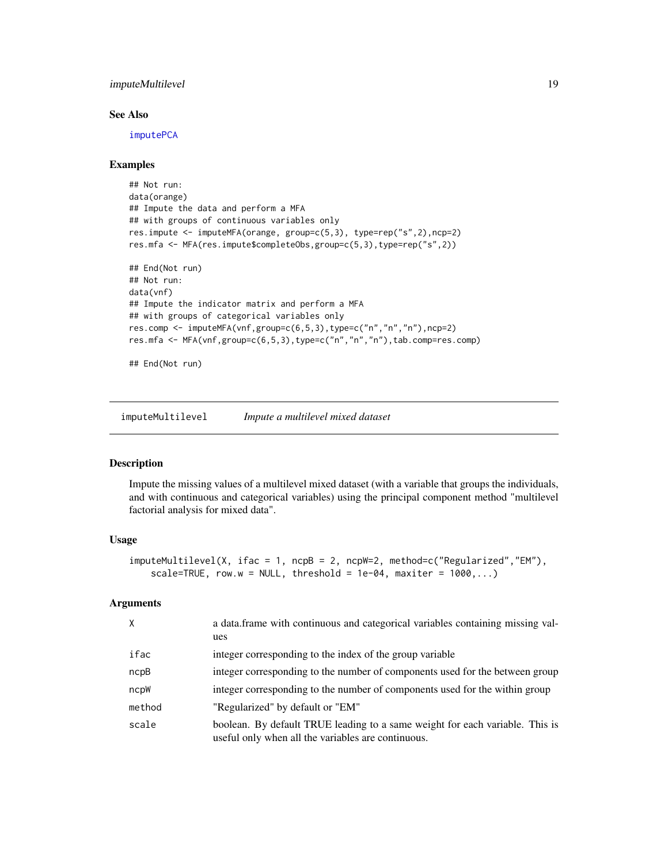# <span id="page-18-0"></span>imputeMultilevel 19

# See Also

[imputePCA](#page-20-1)

#### Examples

```
## Not run:
data(orange)
## Impute the data and perform a MFA
## with groups of continuous variables only
res.impute <- imputeMFA(orange, group=c(5,3), type=rep("s",2),ncp=2)
res.mfa <- MFA(res.impute$completeObs,group=c(5,3),type=rep("s",2))
## End(Not run)
## Not run:
data(vnf)
## Impute the indicator matrix and perform a MFA
## with groups of categorical variables only
res.comp <- imputeMFA(vnf,group=c(6,5,3),type=c("n","n","n"),ncp=2)
res.mfa <- MFA(vnf,group=c(6,5,3),type=c("n","n","n"),tab.comp=res.comp)
```
## End(Not run)

<span id="page-18-1"></span>imputeMultilevel *Impute a multilevel mixed dataset*

#### Description

Impute the missing values of a multilevel mixed dataset (with a variable that groups the individuals, and with continuous and categorical variables) using the principal component method "multilevel factorial analysis for mixed data".

# Usage

```
imputeMultilevel(X, ifac = 1, ncpB = 2, ncpW=2, method=c("Regularized","EM"),
   scale=TRUE, row.w = NULL, threshold = 1e-04, maxiter = 1000, ...)
```

| $\times$ | a data frame with continuous and categorical variables containing missing val-<br>ues                                              |
|----------|------------------------------------------------------------------------------------------------------------------------------------|
| ifac     | integer corresponding to the index of the group variable                                                                           |
| ncpB     | integer corresponding to the number of components used for the between group                                                       |
| ncpW     | integer corresponding to the number of components used for the within group                                                        |
| method   | "Regularized" by default or "EM"                                                                                                   |
| scale    | boolean. By default TRUE leading to a same weight for each variable. This is<br>useful only when all the variables are continuous. |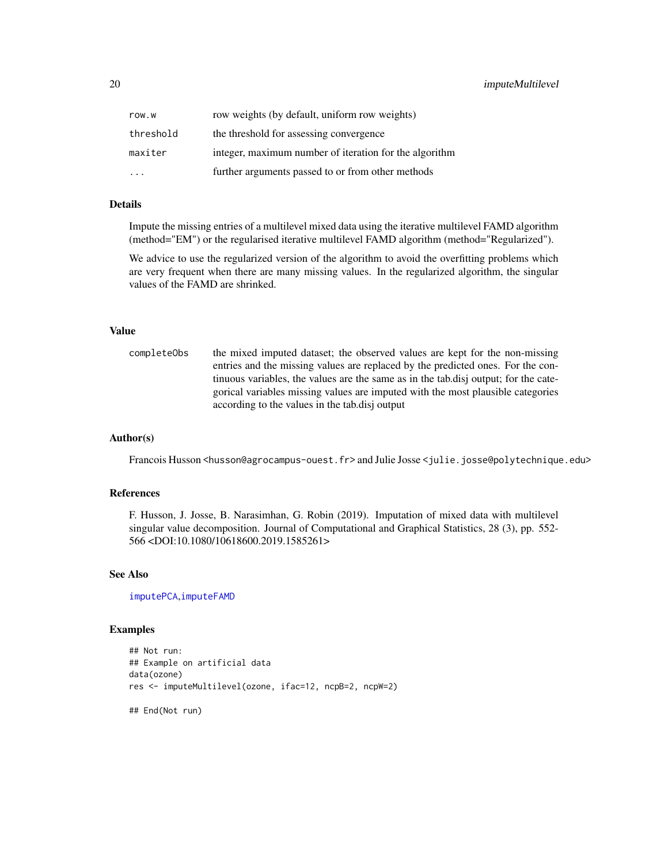<span id="page-19-0"></span>

| row.w     | row weights (by default, uniform row weights)          |
|-----------|--------------------------------------------------------|
| threshold | the threshold for assessing convergence                |
| maxiter   | integer, maximum number of iteration for the algorithm |
| .         | further arguments passed to or from other methods      |

Impute the missing entries of a multilevel mixed data using the iterative multilevel FAMD algorithm (method="EM") or the regularised iterative multilevel FAMD algorithm (method="Regularized").

We advice to use the regularized version of the algorithm to avoid the overfitting problems which are very frequent when there are many missing values. In the regularized algorithm, the singular values of the FAMD are shrinked.

# Value

completeObs the mixed imputed dataset; the observed values are kept for the non-missing entries and the missing values are replaced by the predicted ones. For the continuous variables, the values are the same as in the tab.disj output; for the categorical variables missing values are imputed with the most plausible categories according to the values in the tab.disj output

# Author(s)

Francois Husson <husson@agrocampus-ouest.fr> and Julie Josse <julie.josse@polytechnique.edu>

# References

F. Husson, J. Josse, B. Narasimhan, G. Robin (2019). Imputation of mixed data with multilevel singular value decomposition. Journal of Computational and Graphical Statistics, 28 (3), pp. 552- 566 <DOI:10.1080/10618600.2019.1585261>

# See Also

[imputePCA](#page-20-1),[imputeFAMD](#page-11-1)

#### Examples

```
## Not run:
## Example on artificial data
data(ozone)
res <- imputeMultilevel(ozone, ifac=12, ncpB=2, ncpW=2)
## End(Not run)
```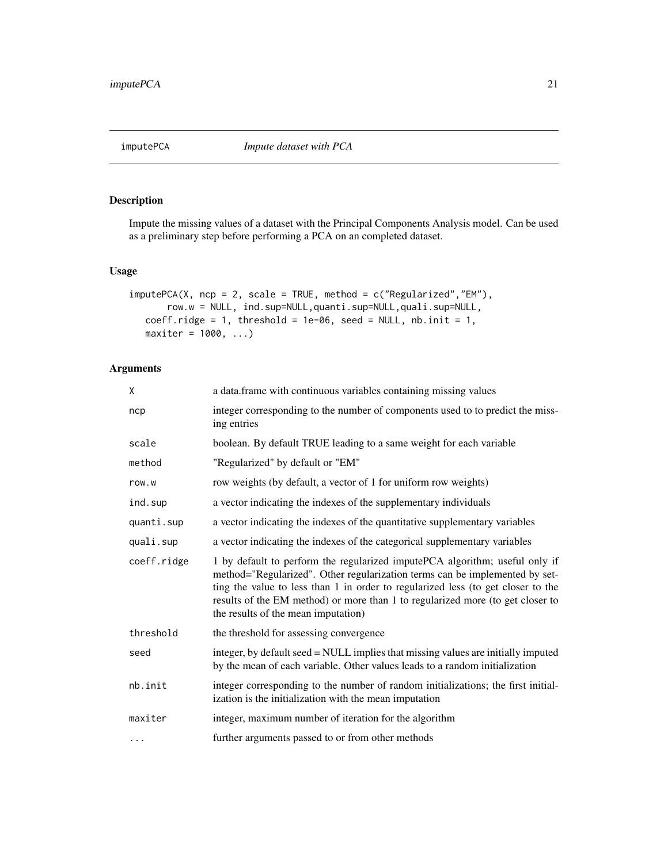<span id="page-20-1"></span><span id="page-20-0"></span>

# Description

Impute the missing values of a dataset with the Principal Components Analysis model. Can be used as a preliminary step before performing a PCA on an completed dataset.

# Usage

```
imputePCA(X, ncp = 2, scale = TRUE, method = c("Regularized", "EM"),row.w = NULL, ind.sup=NULL,quanti.sup=NULL,quali.sup=NULL,
  coeff.ridge = 1, threshold = 1e-06, seed = NULL, nb.init = 1,
  maxiter = 1000, ...
```

| X           | a data.frame with continuous variables containing missing values                                                                                                                                                                                                                                                                                                        |  |  |  |
|-------------|-------------------------------------------------------------------------------------------------------------------------------------------------------------------------------------------------------------------------------------------------------------------------------------------------------------------------------------------------------------------------|--|--|--|
| ncp         | integer corresponding to the number of components used to to predict the miss-<br>ing entries                                                                                                                                                                                                                                                                           |  |  |  |
| scale       | boolean. By default TRUE leading to a same weight for each variable                                                                                                                                                                                                                                                                                                     |  |  |  |
| method      | "Regularized" by default or "EM"                                                                                                                                                                                                                                                                                                                                        |  |  |  |
| row.w       | row weights (by default, a vector of 1 for uniform row weights)                                                                                                                                                                                                                                                                                                         |  |  |  |
| ind.sup     | a vector indicating the indexes of the supplementary individuals                                                                                                                                                                                                                                                                                                        |  |  |  |
| quanti.sup  | a vector indicating the indexes of the quantitative supplementary variables                                                                                                                                                                                                                                                                                             |  |  |  |
| quali.sup   | a vector indicating the indexes of the categorical supplementary variables                                                                                                                                                                                                                                                                                              |  |  |  |
| coeff.ridge | 1 by default to perform the regularized imputePCA algorithm; useful only if<br>method="Regularized". Other regularization terms can be implemented by set-<br>ting the value to less than 1 in order to regularized less (to get closer to the<br>results of the EM method) or more than 1 to regularized more (to get closer to<br>the results of the mean imputation) |  |  |  |
| threshold   | the threshold for assessing convergence                                                                                                                                                                                                                                                                                                                                 |  |  |  |
| seed        | integer, by default seed = NULL implies that missing values are initially imputed<br>by the mean of each variable. Other values leads to a random initialization                                                                                                                                                                                                        |  |  |  |
| nb.init     | integer corresponding to the number of random initializations; the first initial-<br>ization is the initialization with the mean imputation                                                                                                                                                                                                                             |  |  |  |
| maxiter     | integer, maximum number of iteration for the algorithm                                                                                                                                                                                                                                                                                                                  |  |  |  |
| $\cdots$    | further arguments passed to or from other methods                                                                                                                                                                                                                                                                                                                       |  |  |  |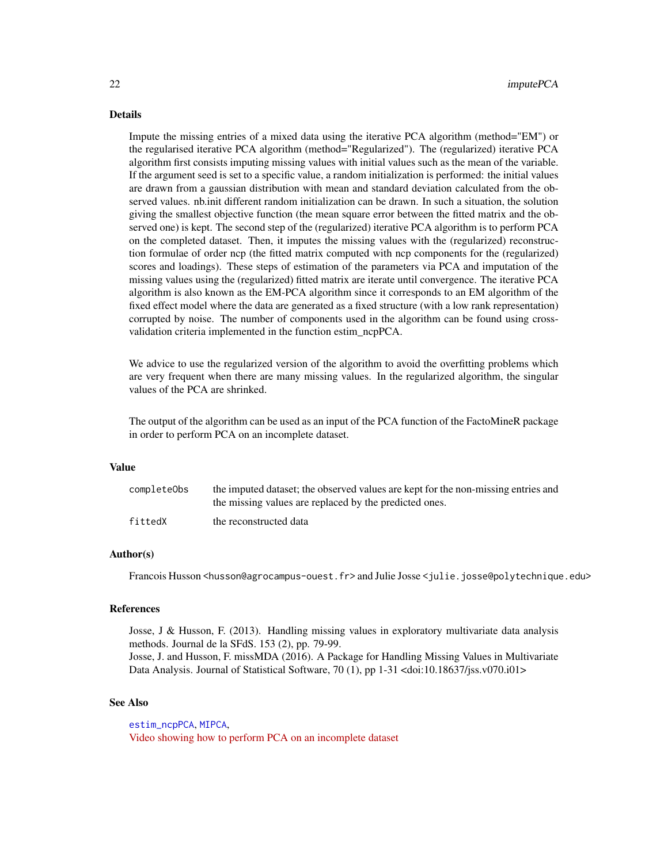<span id="page-21-0"></span>Impute the missing entries of a mixed data using the iterative PCA algorithm (method="EM") or the regularised iterative PCA algorithm (method="Regularized"). The (regularized) iterative PCA algorithm first consists imputing missing values with initial values such as the mean of the variable. If the argument seed is set to a specific value, a random initialization is performed: the initial values are drawn from a gaussian distribution with mean and standard deviation calculated from the observed values. nb.init different random initialization can be drawn. In such a situation, the solution giving the smallest objective function (the mean square error between the fitted matrix and the observed one) is kept. The second step of the (regularized) iterative PCA algorithm is to perform PCA on the completed dataset. Then, it imputes the missing values with the (regularized) reconstruction formulae of order ncp (the fitted matrix computed with ncp components for the (regularized) scores and loadings). These steps of estimation of the parameters via PCA and imputation of the missing values using the (regularized) fitted matrix are iterate until convergence. The iterative PCA algorithm is also known as the EM-PCA algorithm since it corresponds to an EM algorithm of the fixed effect model where the data are generated as a fixed structure (with a low rank representation) corrupted by noise. The number of components used in the algorithm can be found using crossvalidation criteria implemented in the function estim\_ncpPCA.

We advice to use the regularized version of the algorithm to avoid the overfitting problems which are very frequent when there are many missing values. In the regularized algorithm, the singular values of the PCA are shrinked.

The output of the algorithm can be used as an input of the PCA function of the FactoMineR package in order to perform PCA on an incomplete dataset.

# Value

| completeObs | the imputed dataset; the observed values are kept for the non-missing entries and<br>the missing values are replaced by the predicted ones. |
|-------------|---------------------------------------------------------------------------------------------------------------------------------------------|
| fittedX     | the reconstructed data                                                                                                                      |

#### Author(s)

Francois Husson <husson@agrocampus-ouest.fr> and Julie Josse <julie.josse@polytechnique.edu>

#### References

Josse, J & Husson, F. (2013). Handling missing values in exploratory multivariate data analysis methods. Journal de la SFdS. 153 (2), pp. 79-99. Josse, J. and Husson, F. missMDA (2016). A Package for Handling Missing Values in Multivariate Data Analysis. Journal of Statistical Software, 70 (1), pp 1-31 <doi:10.18637/jss.v070.i01>

#### See Also

[estim\\_ncpPCA](#page-7-1), [MIPCA](#page-26-1), [Video showing how to perform PCA on an incomplete dataset](https://www.youtube.com/watch?v=YDbx2pk9xNY&list=PLnZgp6epRBbQzxFnQrcxg09kRt-PA66T_&index=2)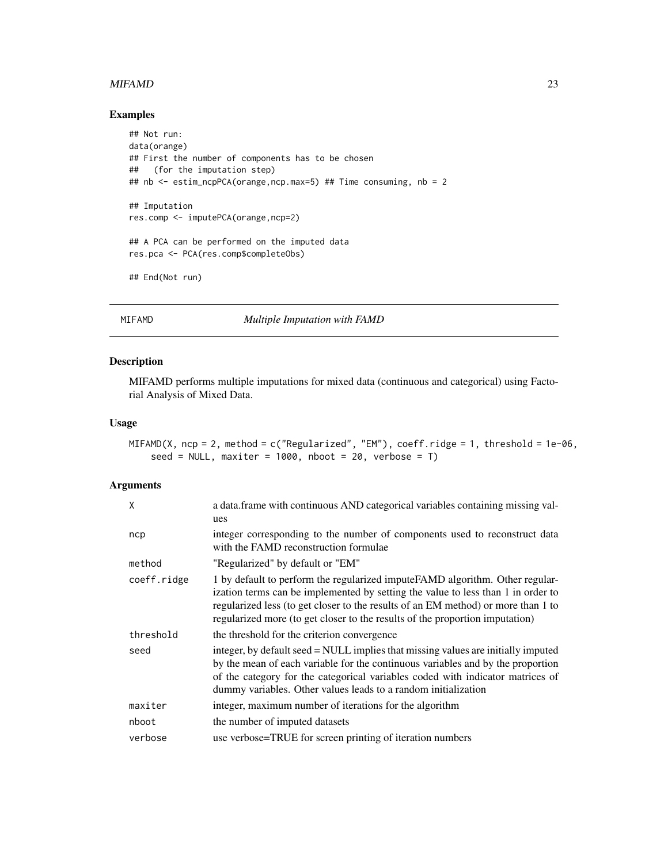#### <span id="page-22-0"></span>MIFAMD 23

# Examples

```
## Not run:
data(orange)
## First the number of components has to be chosen
## (for the imputation step)
## nb <- estim_ncpPCA(orange,ncp.max=5) ## Time consuming, nb = 2
## Imputation
res.comp <- imputePCA(orange,ncp=2)
## A PCA can be performed on the imputed data
res.pca <- PCA(res.comp$completeObs)
## End(Not run)
```
<span id="page-22-1"></span>MIFAMD *Multiple Imputation with FAMD*

# Description

MIFAMD performs multiple imputations for mixed data (continuous and categorical) using Factorial Analysis of Mixed Data.

#### Usage

```
MIFAMD(X, ncp = 2, method = c("Regularized", "EM"), coeff.ridge = 1, threshold = 1e-06,
    seed = NULL, maxiter = 1000, nboot = 20, verbose = T)
```

| X           | a data.frame with continuous AND categorical variables containing missing val-<br>ues                                                                                                                                                                                                                                                  |
|-------------|----------------------------------------------------------------------------------------------------------------------------------------------------------------------------------------------------------------------------------------------------------------------------------------------------------------------------------------|
| ncp         | integer corresponding to the number of components used to reconstruct data<br>with the FAMD reconstruction formulae                                                                                                                                                                                                                    |
| method      | "Regularized" by default or "EM"                                                                                                                                                                                                                                                                                                       |
| coeff.ridge | 1 by default to perform the regularized impute FAMD algorithm. Other regular-<br>ization terms can be implemented by setting the value to less than 1 in order to<br>regularized less (to get closer to the results of an EM method) or more than 1 to<br>regularized more (to get closer to the results of the proportion imputation) |
| threshold   | the threshold for the criterion convergence                                                                                                                                                                                                                                                                                            |
| seed        | integer, by default seed = NULL implies that missing values are initially imputed<br>by the mean of each variable for the continuous variables and by the proportion<br>of the category for the categorical variables coded with indicator matrices of<br>dummy variables. Other values leads to a random initialization               |
| maxiter     | integer, maximum number of iterations for the algorithm                                                                                                                                                                                                                                                                                |
| nboot       | the number of imputed datasets                                                                                                                                                                                                                                                                                                         |
| verbose     | use verbose=TRUE for screen printing of iteration numbers                                                                                                                                                                                                                                                                              |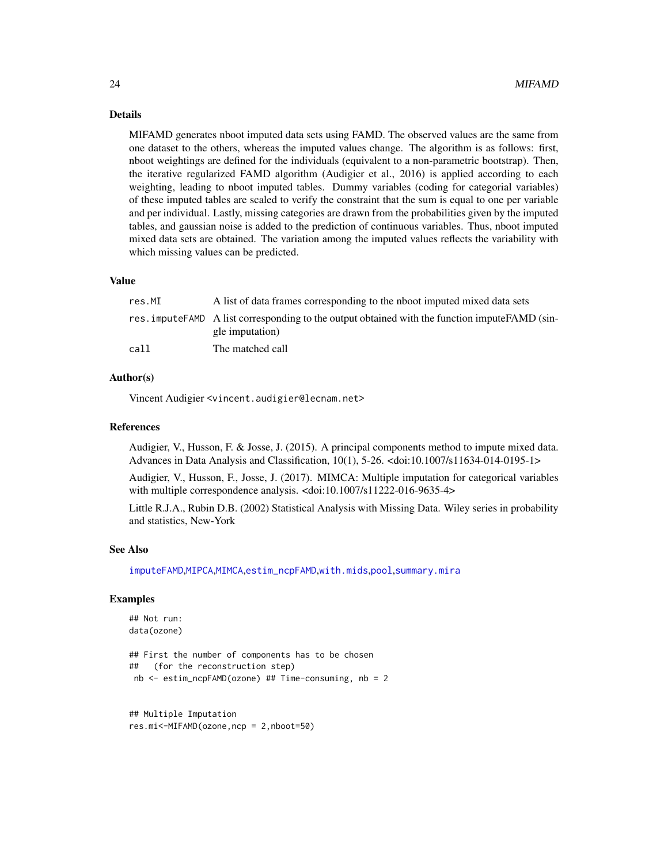MIFAMD generates nboot imputed data sets using FAMD. The observed values are the same from one dataset to the others, whereas the imputed values change. The algorithm is as follows: first, nboot weightings are defined for the individuals (equivalent to a non-parametric bootstrap). Then, the iterative regularized FAMD algorithm (Audigier et al., 2016) is applied according to each weighting, leading to nboot imputed tables. Dummy variables (coding for categorial variables) of these imputed tables are scaled to verify the constraint that the sum is equal to one per variable and per individual. Lastly, missing categories are drawn from the probabilities given by the imputed tables, and gaussian noise is added to the prediction of continuous variables. Thus, nboot imputed mixed data sets are obtained. The variation among the imputed values reflects the variability with which missing values can be predicted.

#### Value

| res.MI | A list of data frames corresponding to the nboot imputed mixed data sets                                            |
|--------|---------------------------------------------------------------------------------------------------------------------|
|        | res. impute FAMD A list corresponding to the output obtained with the function impute FAMD (sin-<br>gle imputation) |
| call   | The matched call                                                                                                    |

# Author(s)

Vincent Audigier <vincent.audigier@lecnam.net>

#### References

Audigier, V., Husson, F. & Josse, J. (2015). A principal components method to impute mixed data. Advances in Data Analysis and Classification, 10(1), 5-26. <doi:10.1007/s11634-014-0195-1>

Audigier, V., Husson, F., Josse, J. (2017). MIMCA: Multiple imputation for categorical variables with multiple correspondence analysis. <doi:10.1007/s11222-016-9635-4>

Little R.J.A., Rubin D.B. (2002) Statistical Analysis with Missing Data. Wiley series in probability and statistics, New-York

#### See Also

[imputeFAMD](#page-11-1),[MIPCA](#page-26-1),[MIMCA](#page-24-1),[estim\\_ncpFAMD](#page-2-1),[with.mids](#page-0-0),[pool](#page-0-0),[summary.mira](#page-0-0)

# Examples

```
## Not run:
data(ozone)
```

```
## First the number of components has to be chosen
## (for the reconstruction step)
nb <- estim_ncpFAMD(ozone) ## Time-consuming, nb = 2
```

```
## Multiple Imputation
res.mi<-MIFAMD(ozone,ncp = 2,nboot=50)
```
<span id="page-23-0"></span>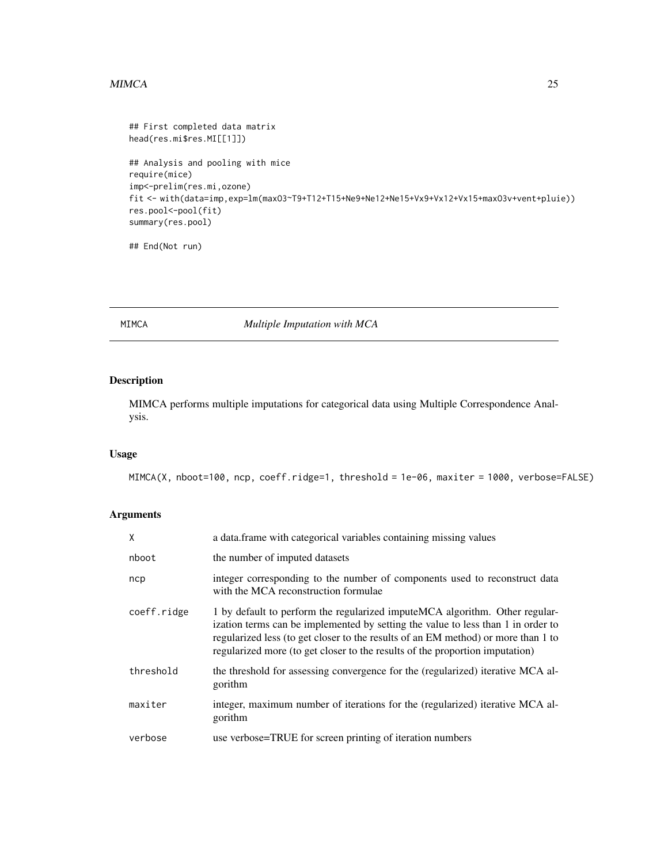# <span id="page-24-0"></span> $MIMCA$  and the contract of the contract of the contract of the contract of the contract of the contract of the contract of the contract of the contract of the contract of the contract of the contract of the contract of the

```
## First completed data matrix
head(res.mi$res.MI[[1]])
## Analysis and pooling with mice
require(mice)
imp<-prelim(res.mi,ozone)
fit <- with(data=imp,exp=lm(maxO3~T9+T12+T15+Ne9+Ne12+Ne15+Vx9+Vx12+Vx15+maxO3v+vent+pluie))
res.pool<-pool(fit)
summary(res.pool)
```
## End(Not run)

#### <span id="page-24-1"></span>MIMCA *Multiple Imputation with MCA*

# Description

MIMCA performs multiple imputations for categorical data using Multiple Correspondence Analysis.

# Usage

MIMCA(X, nboot=100, ncp, coeff.ridge=1, threshold = 1e-06, maxiter = 1000, verbose=FALSE)

| X           | a data.frame with categorical variables containing missing values                                                                                                                                                                                                                                                                     |  |  |  |
|-------------|---------------------------------------------------------------------------------------------------------------------------------------------------------------------------------------------------------------------------------------------------------------------------------------------------------------------------------------|--|--|--|
| nboot       | the number of imputed datasets                                                                                                                                                                                                                                                                                                        |  |  |  |
| ncp         | integer corresponding to the number of components used to reconstruct data<br>with the MCA reconstruction formulae                                                                                                                                                                                                                    |  |  |  |
| coeff.ridge | 1 by default to perform the regularized impute MCA algorithm. Other regular-<br>ization terms can be implemented by setting the value to less than 1 in order to<br>regularized less (to get closer to the results of an EM method) or more than 1 to<br>regularized more (to get closer to the results of the proportion imputation) |  |  |  |
| threshold   | the threshold for assessing convergence for the (regularized) iterative MCA al-<br>gorithm                                                                                                                                                                                                                                            |  |  |  |
| maxiter     | integer, maximum number of iterations for the (regularized) iterative MCA al-<br>gorithm                                                                                                                                                                                                                                              |  |  |  |
| verbose     | use verbose=TRUE for screen printing of iteration numbers                                                                                                                                                                                                                                                                             |  |  |  |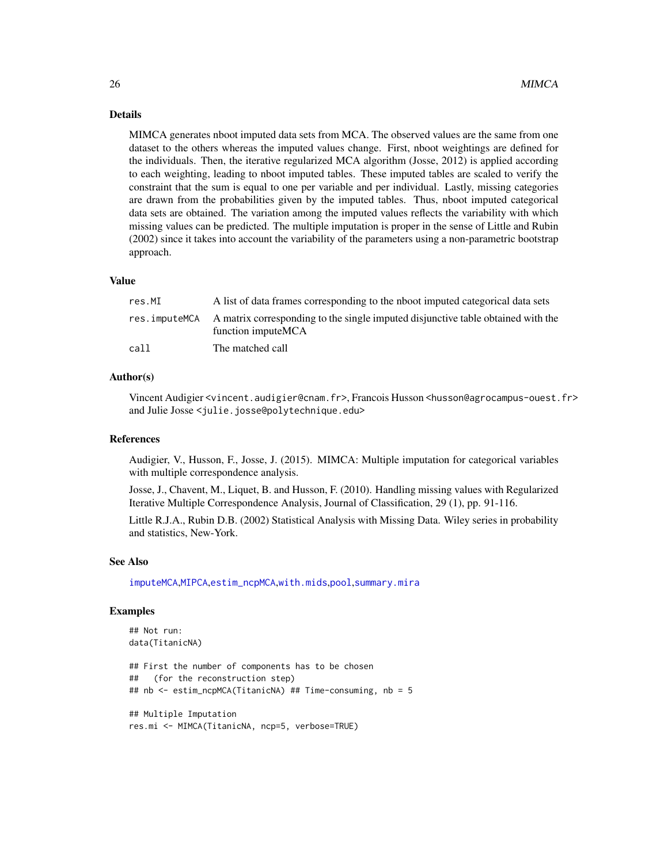MIMCA generates nboot imputed data sets from MCA. The observed values are the same from one dataset to the others whereas the imputed values change. First, nboot weightings are defined for the individuals. Then, the iterative regularized MCA algorithm (Josse, 2012) is applied according to each weighting, leading to nboot imputed tables. These imputed tables are scaled to verify the constraint that the sum is equal to one per variable and per individual. Lastly, missing categories are drawn from the probabilities given by the imputed tables. Thus, nboot imputed categorical data sets are obtained. The variation among the imputed values reflects the variability with which missing values can be predicted. The multiple imputation is proper in the sense of Little and Rubin (2002) since it takes into account the variability of the parameters using a non-parametric bootstrap approach.

#### Value

| res.MI        | A list of data frames corresponding to the nboot imputed categorical data sets                         |
|---------------|--------------------------------------------------------------------------------------------------------|
| res.imputeMCA | A matrix corresponding to the single imputed disjunctive table obtained with the<br>function imputeMCA |
| call          | The matched call                                                                                       |

# Author(s)

Vincent Audigier <vincent.audigier@cnam.fr>, Francois Husson <husson@agrocampus-ouest.fr> and Julie Josse <julie.josse@polytechnique.edu>

#### References

Audigier, V., Husson, F., Josse, J. (2015). MIMCA: Multiple imputation for categorical variables with multiple correspondence analysis.

Josse, J., Chavent, M., Liquet, B. and Husson, F. (2010). Handling missing values with Regularized Iterative Multiple Correspondence Analysis, Journal of Classification, 29 (1), pp. 91-116.

Little R.J.A., Rubin D.B. (2002) Statistical Analysis with Missing Data. Wiley series in probability and statistics, New-York.

#### See Also

[imputeMCA](#page-13-1),[MIPCA](#page-26-1),[estim\\_ncpMCA](#page-4-1),[with.mids](#page-0-0),[pool](#page-0-0),[summary.mira](#page-0-0)

#### Examples

```
## Not run:
data(TitanicNA)
## First the number of components has to be chosen
## (for the reconstruction step)
## nb <- estim_ncpMCA(TitanicNA) ## Time-consuming, nb = 5
## Multiple Imputation
```
<span id="page-25-0"></span>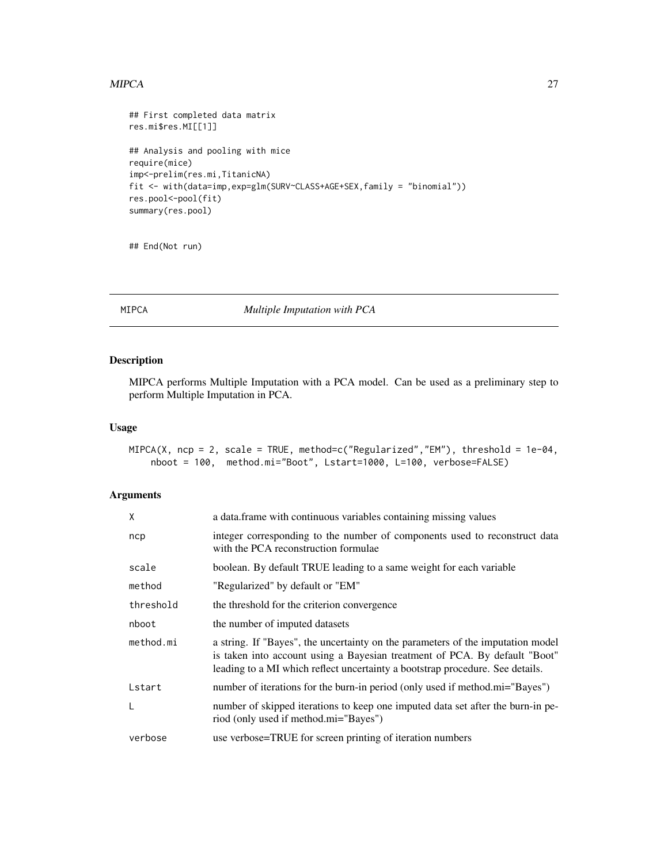#### <span id="page-26-0"></span>MIPCA 27

```
## First completed data matrix
res.mi$res.MI[[1]]
## Analysis and pooling with mice
require(mice)
imp<-prelim(res.mi,TitanicNA)
fit <- with(data=imp,exp=glm(SURV~CLASS+AGE+SEX,family = "binomial"))
res.pool<-pool(fit)
summary(res.pool)
```
## End(Not run)

<span id="page-26-1"></span>MIPCA *Multiple Imputation with PCA*

# Description

MIPCA performs Multiple Imputation with a PCA model. Can be used as a preliminary step to perform Multiple Imputation in PCA.

#### Usage

```
MIPCA(X, ncp = 2, scale = TRUE, method = c("Regularized", "EM"), threshold = 1e-04,
    nboot = 100, method.mi="Boot", Lstart=1000, L=100, verbose=FALSE)
```

| X         | a data.frame with continuous variables containing missing values                                                                                                                                                                               |  |  |  |  |
|-----------|------------------------------------------------------------------------------------------------------------------------------------------------------------------------------------------------------------------------------------------------|--|--|--|--|
| ncp       | integer corresponding to the number of components used to reconstruct data<br>with the PCA reconstruction formulae                                                                                                                             |  |  |  |  |
| scale     | boolean. By default TRUE leading to a same weight for each variable                                                                                                                                                                            |  |  |  |  |
| method    | "Regularized" by default or "EM"                                                                                                                                                                                                               |  |  |  |  |
| threshold | the threshold for the criterion convergence                                                                                                                                                                                                    |  |  |  |  |
| nboot     | the number of imputed datasets                                                                                                                                                                                                                 |  |  |  |  |
| method.mi | a string. If "Bayes", the uncertainty on the parameters of the imputation model<br>is taken into account using a Bayesian treatment of PCA. By default "Boot"<br>leading to a MI which reflect uncertainty a bootstrap procedure. See details. |  |  |  |  |
| Lstart    | number of iterations for the burn-in period (only used if method.mi="Bayes")                                                                                                                                                                   |  |  |  |  |
| L         | number of skipped iterations to keep one imputed data set after the burn-in pe-<br>riod (only used if method.mi="Bayes")                                                                                                                       |  |  |  |  |
| verbose   | use verbose=TRUE for screen printing of iteration numbers                                                                                                                                                                                      |  |  |  |  |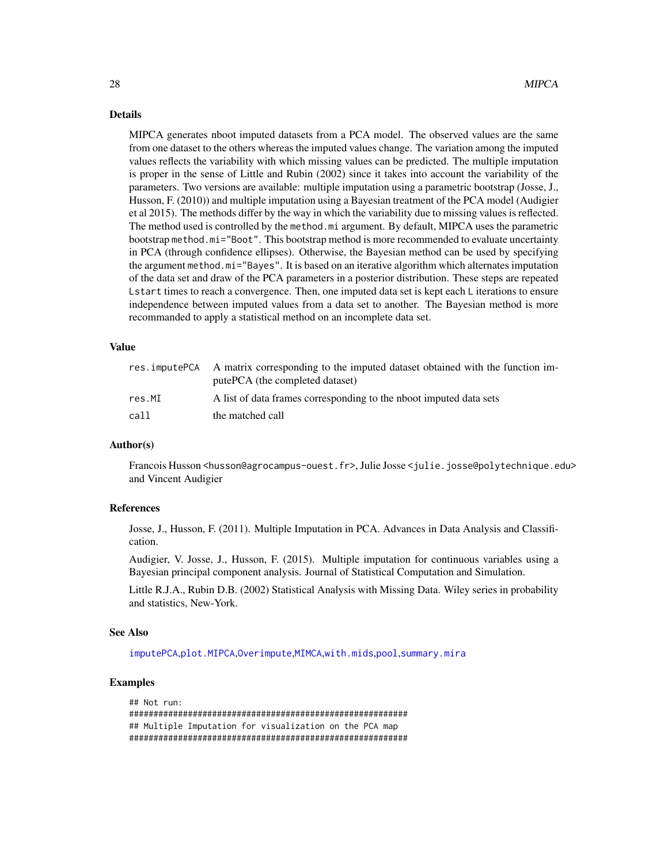<span id="page-27-0"></span>MIPCA generates nboot imputed datasets from a PCA model. The observed values are the same from one dataset to the others whereas the imputed values change. The variation among the imputed values reflects the variability with which missing values can be predicted. The multiple imputation is proper in the sense of Little and Rubin (2002) since it takes into account the variability of the parameters. Two versions are available: multiple imputation using a parametric bootstrap (Josse, J., Husson, F. (2010)) and multiple imputation using a Bayesian treatment of the PCA model (Audigier et al 2015). The methods differ by the way in which the variability due to missing values is reflected. The method used is controlled by the method.mi argument. By default, MIPCA uses the parametric bootstrap method.mi="Boot". This bootstrap method is more recommended to evaluate uncertainty in PCA (through confidence ellipses). Otherwise, the Bayesian method can be used by specifying the argument method.mi="Bayes". It is based on an iterative algorithm which alternates imputation of the data set and draw of the PCA parameters in a posterior distribution. These steps are repeated Lstart times to reach a convergence. Then, one imputed data set is kept each L iterations to ensure independence between imputed values from a data set to another. The Bayesian method is more recommanded to apply a statistical method on an incomplete data set.

#### Value

|        | res. impute PCA A matrix corresponding to the imputed dataset obtained with the function im-<br>putePCA (the completed dataset) |
|--------|---------------------------------------------------------------------------------------------------------------------------------|
| res.MI | A list of data frames corresponding to the nboot imputed data sets                                                              |
| call   | the matched call                                                                                                                |

#### Author(s)

Francois Husson <husson@agrocampus-ouest.fr>, Julie Josse <julie.josse@polytechnique.edu> and Vincent Audigier

### References

Josse, J., Husson, F. (2011). Multiple Imputation in PCA. Advances in Data Analysis and Classification.

Audigier, V. Josse, J., Husson, F. (2015). Multiple imputation for continuous variables using a Bayesian principal component analysis. Journal of Statistical Computation and Simulation.

Little R.J.A., Rubin D.B. (2002) Statistical Analysis with Missing Data. Wiley series in probability and statistics, New-York.

#### See Also

[imputePCA](#page-20-1),[plot.MIPCA](#page-33-1),[Overimpute](#page-29-1),[MIMCA](#page-24-1),[with.mids](#page-0-0),[pool](#page-0-0),[summary.mira](#page-0-0)

# Examples

```
## Not run:
#########################################################
## Multiple Imputation for visualization on the PCA map
#########################################################
```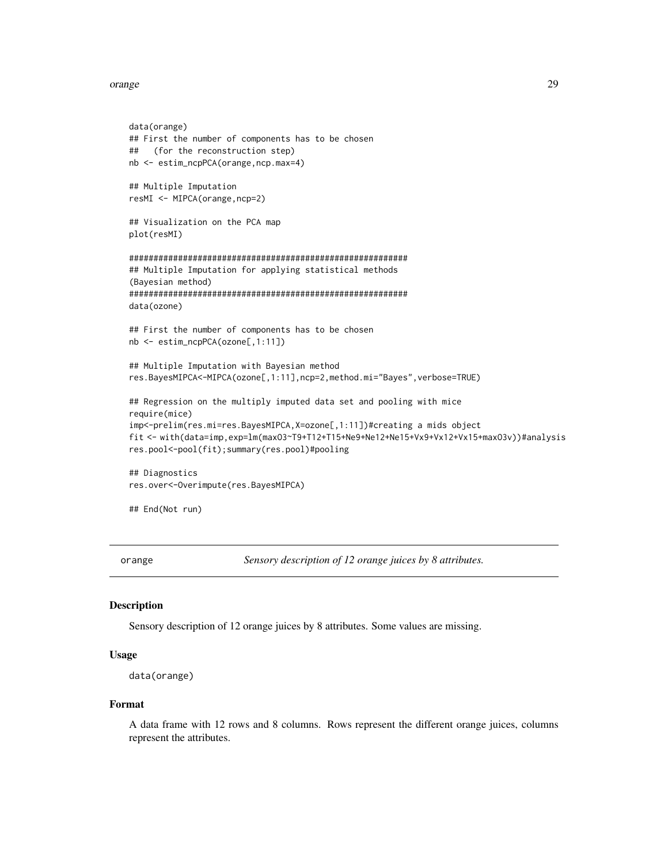#### <span id="page-28-0"></span>orange 29

```
data(orange)
## First the number of components has to be chosen
## (for the reconstruction step)
nb <- estim_ncpPCA(orange,ncp.max=4)
## Multiple Imputation
resMI <- MIPCA(orange,ncp=2)
## Visualization on the PCA map
plot(resMI)
#########################################################
## Multiple Imputation for applying statistical methods
(Bayesian method)
#########################################################
data(ozone)
## First the number of components has to be chosen
nb <- estim_ncpPCA(ozone[,1:11])
## Multiple Imputation with Bayesian method
res.BayesMIPCA<-MIPCA(ozone[,1:11],ncp=2,method.mi="Bayes",verbose=TRUE)
## Regression on the multiply imputed data set and pooling with mice
require(mice)
imp<-prelim(res.mi=res.BayesMIPCA,X=ozone[,1:11])#creating a mids object
fit <- with(data=imp,exp=lm(maxO3~T9+T12+T15+Ne9+Ne12+Ne15+Vx9+Vx12+Vx15+maxO3v))#analysis
res.pool<-pool(fit);summary(res.pool)#pooling
## Diagnostics
res.over<-Overimpute(res.BayesMIPCA)
```
## End(Not run)

orange *Sensory description of 12 orange juices by 8 attributes.*

# Description

Sensory description of 12 orange juices by 8 attributes. Some values are missing.

#### Usage

```
data(orange)
```
#### Format

A data frame with 12 rows and 8 columns. Rows represent the different orange juices, columns represent the attributes.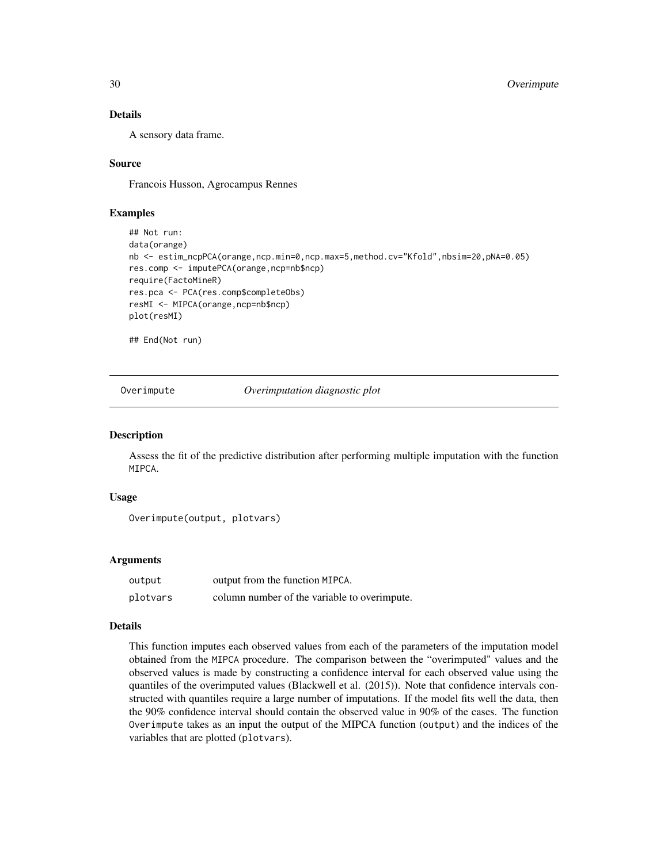A sensory data frame.

# Source

Francois Husson, Agrocampus Rennes

## Examples

```
## Not run:
data(orange)
nb <- estim_ncpPCA(orange,ncp.min=0,ncp.max=5,method.cv="Kfold",nbsim=20,pNA=0.05)
res.comp <- imputePCA(orange,ncp=nb$ncp)
require(FactoMineR)
res.pca <- PCA(res.comp$completeObs)
resMI <- MIPCA(orange,ncp=nb$ncp)
plot(resMI)
```
## End(Not run)

<span id="page-29-1"></span>Overimpute *Overimputation diagnostic plot*

#### Description

Assess the fit of the predictive distribution after performing multiple imputation with the function MIPCA.

#### Usage

```
Overimpute(output, plotvars)
```
#### Arguments

| output   | output from the function MIPCA.              |
|----------|----------------------------------------------|
| plotvars | column number of the variable to overimpute. |

#### Details

This function imputes each observed values from each of the parameters of the imputation model obtained from the MIPCA procedure. The comparison between the "overimputed" values and the observed values is made by constructing a confidence interval for each observed value using the quantiles of the overimputed values (Blackwell et al. (2015)). Note that confidence intervals constructed with quantiles require a large number of imputations. If the model fits well the data, then the 90% confidence interval should contain the observed value in 90% of the cases. The function Overimpute takes as an input the output of the MIPCA function (output) and the indices of the variables that are plotted (plotvars).

<span id="page-29-0"></span>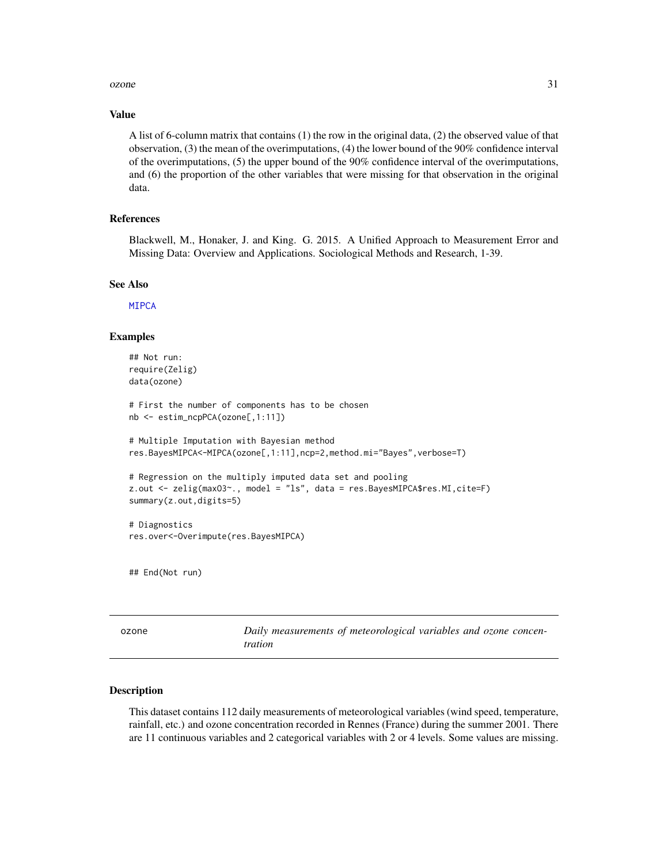#### <span id="page-30-0"></span> $ozone$  31

#### Value

A list of 6-column matrix that contains (1) the row in the original data, (2) the observed value of that observation, (3) the mean of the overimputations, (4) the lower bound of the 90% confidence interval of the overimputations, (5) the upper bound of the 90% confidence interval of the overimputations, and (6) the proportion of the other variables that were missing for that observation in the original data.

# References

Blackwell, M., Honaker, J. and King. G. 2015. A Unified Approach to Measurement Error and Missing Data: Overview and Applications. Sociological Methods and Research, 1-39.

# See Also

[MIPCA](#page-26-1)

#### Examples

```
## Not run:
require(Zelig)
data(ozone)
# First the number of components has to be chosen
nb <- estim_ncpPCA(ozone[,1:11])
# Multiple Imputation with Bayesian method
res.BayesMIPCA<-MIPCA(ozone[,1:11],ncp=2,method.mi="Bayes",verbose=T)
# Regression on the multiply imputed data set and pooling
z.out <- zelig(maxO3~., model = "ls", data = res.BayesMIPCA$res.MI,cite=F)
summary(z.out,digits=5)
# Diagnostics
res.over<-Overimpute(res.BayesMIPCA)
## End(Not run)
```

| ۰. | M.<br>۰, |  |
|----|----------|--|

ozone *Daily measurements of meteorological variables and ozone concentration*

#### Description

This dataset contains 112 daily measurements of meteorological variables (wind speed, temperature, rainfall, etc.) and ozone concentration recorded in Rennes (France) during the summer 2001. There are 11 continuous variables and 2 categorical variables with 2 or 4 levels. Some values are missing.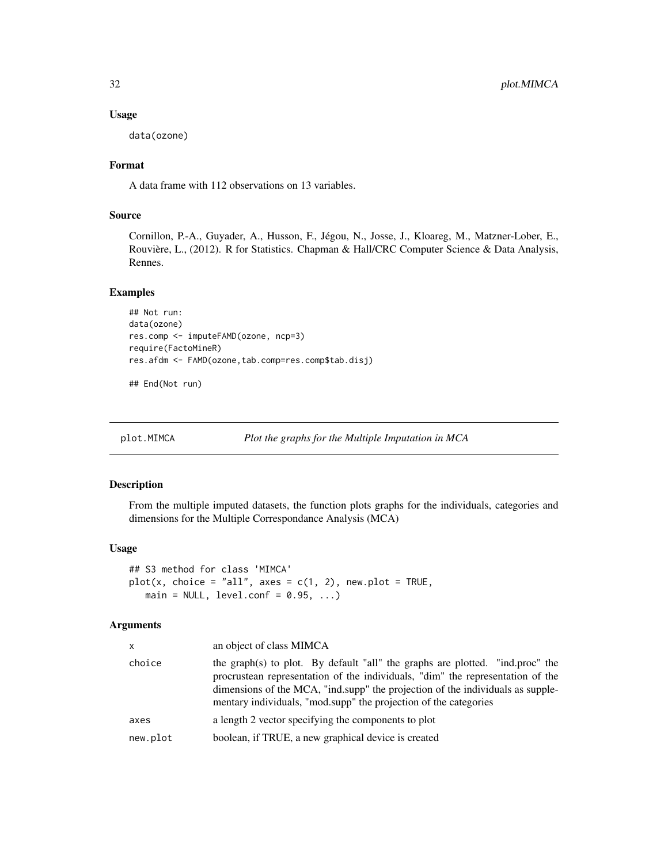#### Usage

data(ozone)

# Format

A data frame with 112 observations on 13 variables.

# Source

Cornillon, P.-A., Guyader, A., Husson, F., Jégou, N., Josse, J., Kloareg, M., Matzner-Lober, E., Rouvière, L., (2012). R for Statistics. Chapman & Hall/CRC Computer Science & Data Analysis, Rennes.

#### Examples

```
## Not run:
data(ozone)
res.comp <- imputeFAMD(ozone, ncp=3)
require(FactoMineR)
res.afdm <- FAMD(ozone,tab.comp=res.comp$tab.disj)
```
## End(Not run)

```
plot.MIMCA Plot the graphs for the Multiple Imputation in MCA
```
# Description

From the multiple imputed datasets, the function plots graphs for the individuals, categories and dimensions for the Multiple Correspondance Analysis (MCA)

#### Usage

```
## S3 method for class 'MIMCA'
plot(x, choice = "all", axes = c(1, 2), new.plot = TRUE,main = NULL, level.conf = 0.95, ...)
```

| x        | an object of class MIMCA                                                                                                                                                                                                                                                                                              |  |
|----------|-----------------------------------------------------------------------------------------------------------------------------------------------------------------------------------------------------------------------------------------------------------------------------------------------------------------------|--|
| choice   | the graph(s) to plot. By default "all" the graphs are plotted. "ind.proc" the<br>procrustean representation of the individuals, "dim" the representation of the<br>dimensions of the MCA, "ind.supp" the projection of the individuals as supple-<br>mentary individuals, "mod.supp" the projection of the categories |  |
| axes     | a length 2 vector specifying the components to plot                                                                                                                                                                                                                                                                   |  |
| new.plot | boolean, if TRUE, a new graphical device is created                                                                                                                                                                                                                                                                   |  |
|          |                                                                                                                                                                                                                                                                                                                       |  |

<span id="page-31-0"></span>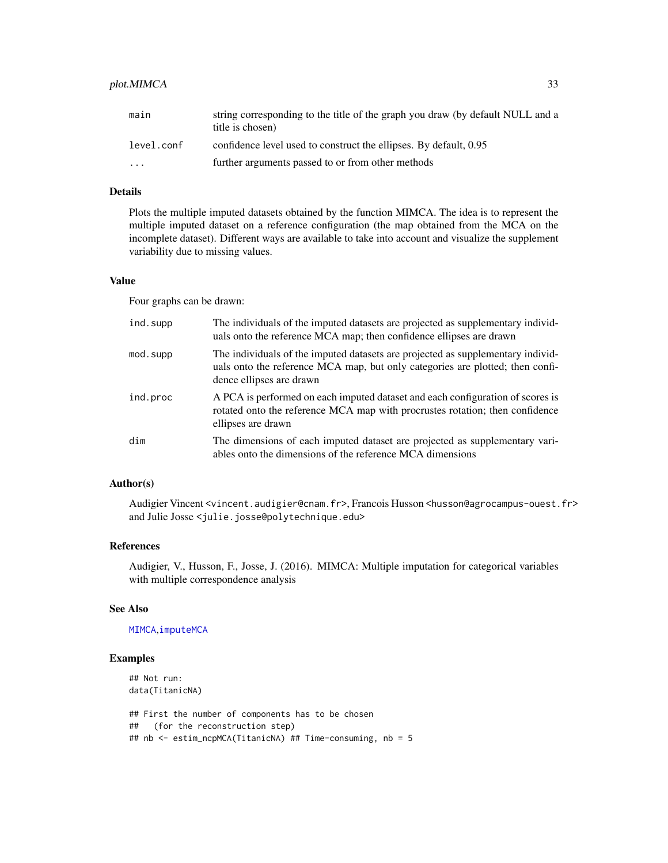# <span id="page-32-0"></span>plot. MIMCA 33

| main       | string corresponding to the title of the graph you draw (by default NULL and a<br>title is chosen) |
|------------|----------------------------------------------------------------------------------------------------|
| level.conf | confidence level used to construct the ellipses. By default, 0.95                                  |
| $\cdot$    | further arguments passed to or from other methods                                                  |

# Details

Plots the multiple imputed datasets obtained by the function MIMCA. The idea is to represent the multiple imputed dataset on a reference configuration (the map obtained from the MCA on the incomplete dataset). Different ways are available to take into account and visualize the supplement variability due to missing values.

# Value

Four graphs can be drawn:

| ind.supp | The individuals of the imputed datasets are projected as supplementary individ-<br>uals onto the reference MCA map; then confidence ellipses are drawn                                       |
|----------|----------------------------------------------------------------------------------------------------------------------------------------------------------------------------------------------|
| mod.supp | The individuals of the imputed datasets are projected as supplementary individ-<br>uals onto the reference MCA map, but only categories are plotted; then confi-<br>dence ellipses are drawn |
| ind.proc | A PCA is performed on each imputed dataset and each configuration of scores is<br>rotated onto the reference MCA map with procrustes rotation; then confidence<br>ellipses are drawn         |
| dim      | The dimensions of each imputed dataset are projected as supplementary vari-<br>ables onto the dimensions of the reference MCA dimensions                                                     |

## Author(s)

Audigier Vincent <vincent.audigier@cnam.fr>, Francois Husson <husson@agrocampus-ouest.fr> and Julie Josse <julie.josse@polytechnique.edu>

#### References

Audigier, V., Husson, F., Josse, J. (2016). MIMCA: Multiple imputation for categorical variables with multiple correspondence analysis

# See Also

#### [MIMCA](#page-24-1),[imputeMCA](#page-13-1)

### Examples

## Not run: data(TitanicNA) ## First the number of components has to be chosen ## (for the reconstruction step) ## nb <- estim\_ncpMCA(TitanicNA) ## Time-consuming, nb = 5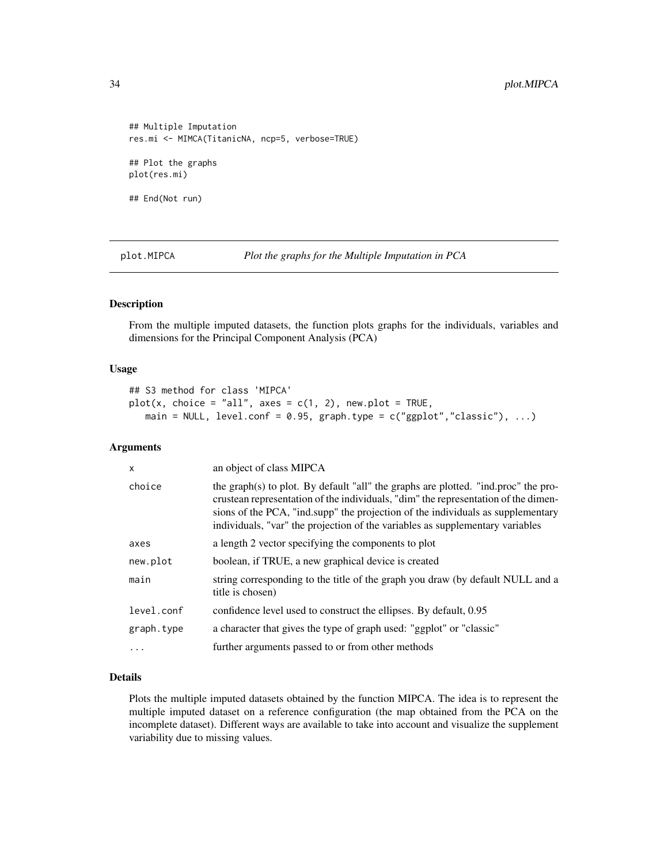```
## Multiple Imputation
res.mi <- MIMCA(TitanicNA, ncp=5, verbose=TRUE)
## Plot the graphs
plot(res.mi)
## End(Not run)
```
<span id="page-33-1"></span>plot.MIPCA *Plot the graphs for the Multiple Imputation in PCA*

#### Description

From the multiple imputed datasets, the function plots graphs for the individuals, variables and dimensions for the Principal Component Analysis (PCA)

#### Usage

```
## S3 method for class 'MIPCA'
plot(x, choice = "all", axes = c(1, 2), new.plot = TRUE,main = NULL, level.conf = 0.95, graph.type = c("ggplot", "classic"), ...)
```
# Arguments

| X          | an object of class MIPCA                                                                                                                                                                                                                                                                                                                     |  |
|------------|----------------------------------------------------------------------------------------------------------------------------------------------------------------------------------------------------------------------------------------------------------------------------------------------------------------------------------------------|--|
| choice     | the graph(s) to plot. By default "all" the graphs are plotted. "ind.proc" the pro-<br>crustean representation of the individuals, "dim" the representation of the dimen-<br>sions of the PCA, "ind.supp" the projection of the individuals as supplementary<br>individuals, "var" the projection of the variables as supplementary variables |  |
| axes       | a length 2 vector specifying the components to plot                                                                                                                                                                                                                                                                                          |  |
| new.plot   | boolean, if TRUE, a new graphical device is created                                                                                                                                                                                                                                                                                          |  |
| main       | string corresponding to the title of the graph you draw (by default NULL and a<br>title is chosen)                                                                                                                                                                                                                                           |  |
| level.conf | confidence level used to construct the ellipses. By default, 0.95                                                                                                                                                                                                                                                                            |  |
| graph.type | a character that gives the type of graph used: "ggplot" or "classic"                                                                                                                                                                                                                                                                         |  |
| $\ddotsc$  | further arguments passed to or from other methods                                                                                                                                                                                                                                                                                            |  |

#### Details

Plots the multiple imputed datasets obtained by the function MIPCA. The idea is to represent the multiple imputed dataset on a reference configuration (the map obtained from the PCA on the incomplete dataset). Different ways are available to take into account and visualize the supplement variability due to missing values.

<span id="page-33-0"></span>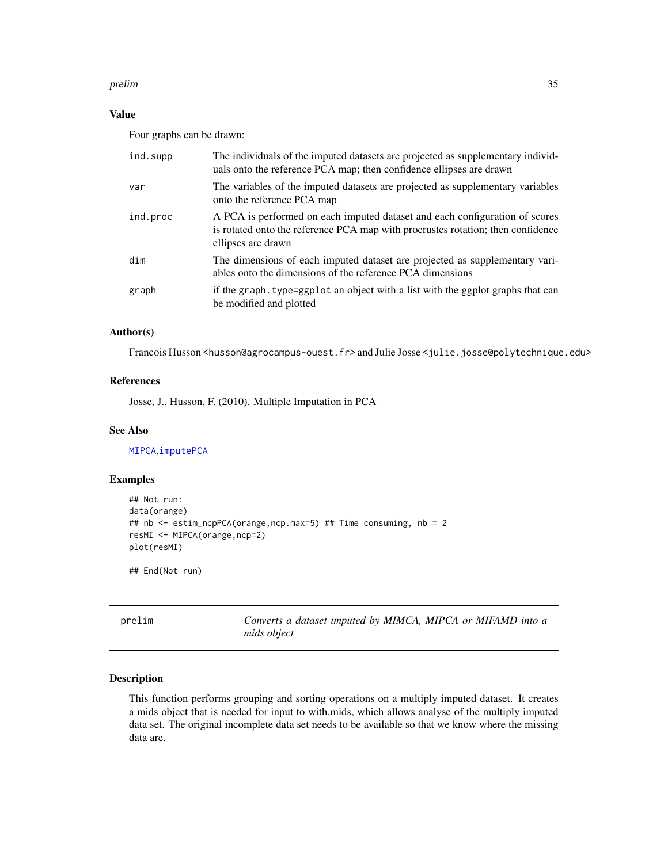#### <span id="page-34-0"></span>prelim and the set of the set of the set of the set of the set of the set of the set of the set of the set of the set of the set of the set of the set of the set of the set of the set of the set of the set of the set of th

# Value

Four graphs can be drawn:

| The individuals of the imputed datasets are projected as supplementary individ-<br>uals onto the reference PCA map; then confidence ellipses are drawn                               |  |
|--------------------------------------------------------------------------------------------------------------------------------------------------------------------------------------|--|
| The variables of the imputed datasets are projected as supplementary variables<br>onto the reference PCA map                                                                         |  |
| A PCA is performed on each imputed dataset and each configuration of scores<br>is rotated onto the reference PCA map with procrustes rotation; then confidence<br>ellipses are drawn |  |
| The dimensions of each imputed dataset are projected as supplementary vari-<br>ables onto the dimensions of the reference PCA dimensions                                             |  |
| if the graph. type=ggp1ot an object with a list with the ggplot graphs that can<br>be modified and plotted                                                                           |  |
|                                                                                                                                                                                      |  |

# Author(s)

Francois Husson <husson@agrocampus-ouest.fr> and Julie Josse <julie.josse@polytechnique.edu>

# References

Josse, J., Husson, F. (2010). Multiple Imputation in PCA

# See Also

[MIPCA](#page-26-1),[imputePCA](#page-20-1)

# Examples

```
## Not run:
data(orange)
## nb <- estim_ncpPCA(orange,ncp.max=5) ## Time consuming, nb = 2
resMI <- MIPCA(orange,ncp=2)
plot(resMI)
```
## End(Not run)

prelim *Converts a dataset imputed by MIMCA, MIPCA or MIFAMD into a mids object*

# Description

This function performs grouping and sorting operations on a multiply imputed dataset. It creates a mids object that is needed for input to with.mids, which allows analyse of the multiply imputed data set. The original incomplete data set needs to be available so that we know where the missing data are.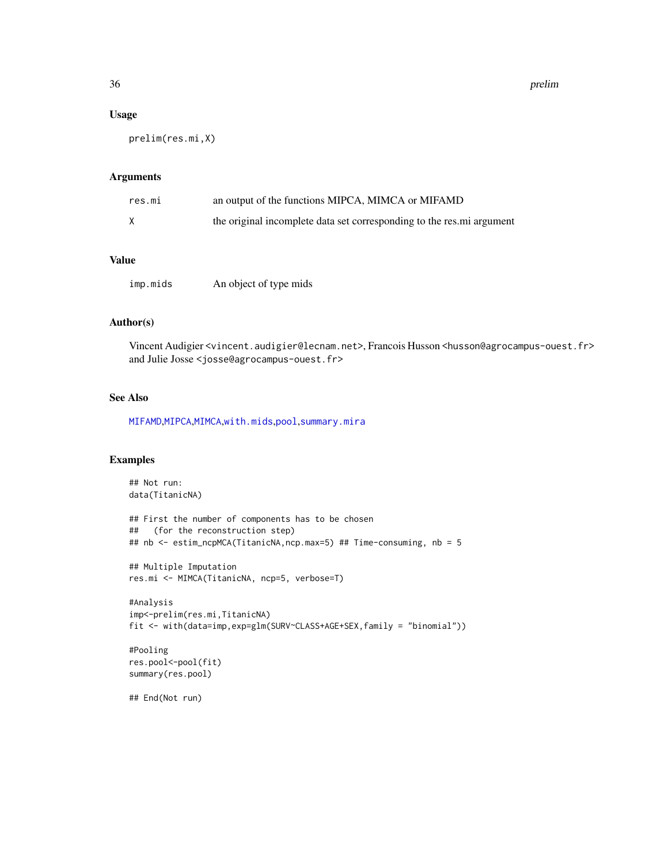# Usage

prelim(res.mi,X)

# Arguments

| res.mi | an output of the functions MIPCA, MIMCA or MIFAMD                      |
|--------|------------------------------------------------------------------------|
|        | the original incomplete data set corresponding to the res. mi argument |

# Value

| imp.mids | An object of type mids |
|----------|------------------------|
|          |                        |

# Author(s)

Vincent Audigier <vincent.audigier@lecnam.net>, Francois Husson <husson@agrocampus-ouest.fr> and Julie Josse <josse@agrocampus-ouest.fr>

# See Also

[MIFAMD](#page-22-1),[MIPCA](#page-26-1),[MIMCA](#page-24-1),[with.mids](#page-0-0),[pool](#page-0-0),[summary.mira](#page-0-0)

#### Examples

```
## Not run:
data(TitanicNA)
## First the number of components has to be chosen
## (for the reconstruction step)
## nb <- estim_ncpMCA(TitanicNA,ncp.max=5) ## Time-consuming, nb = 5
## Multiple Imputation
res.mi <- MIMCA(TitanicNA, ncp=5, verbose=T)
#Analysis
imp<-prelim(res.mi,TitanicNA)
fit <- with(data=imp,exp=glm(SURV~CLASS+AGE+SEX,family = "binomial"))
#Pooling
res.pool<-pool(fit)
summary(res.pool)
## End(Not run)
```
<span id="page-35-0"></span>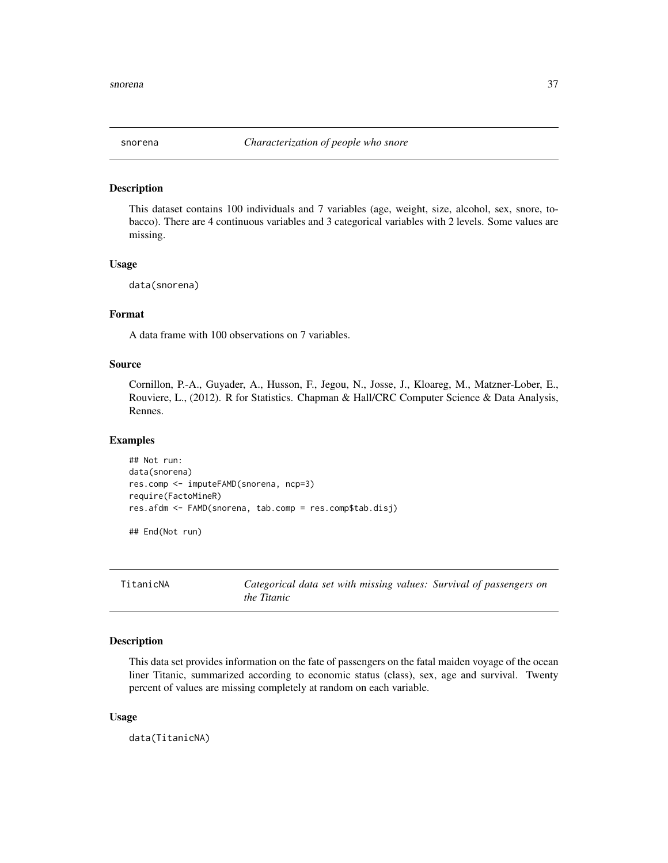<span id="page-36-0"></span>

#### Description

This dataset contains 100 individuals and 7 variables (age, weight, size, alcohol, sex, snore, tobacco). There are 4 continuous variables and 3 categorical variables with 2 levels. Some values are missing.

#### Usage

data(snorena)

# Format

A data frame with 100 observations on 7 variables.

# Source

Cornillon, P.-A., Guyader, A., Husson, F., Jegou, N., Josse, J., Kloareg, M., Matzner-Lober, E., Rouviere, L., (2012). R for Statistics. Chapman & Hall/CRC Computer Science & Data Analysis, Rennes.

#### Examples

```
## Not run:
data(snorena)
res.comp <- imputeFAMD(snorena, ncp=3)
require(FactoMineR)
res.afdm <- FAMD(snorena, tab.comp = res.comp$tab.disj)
## End(Not run)
```
TitanicNA *Categorical data set with missing values: Survival of passengers on the Titanic*

#### Description

This data set provides information on the fate of passengers on the fatal maiden voyage of the ocean liner Titanic, summarized according to economic status (class), sex, age and survival. Twenty percent of values are missing completely at random on each variable.

#### Usage

data(TitanicNA)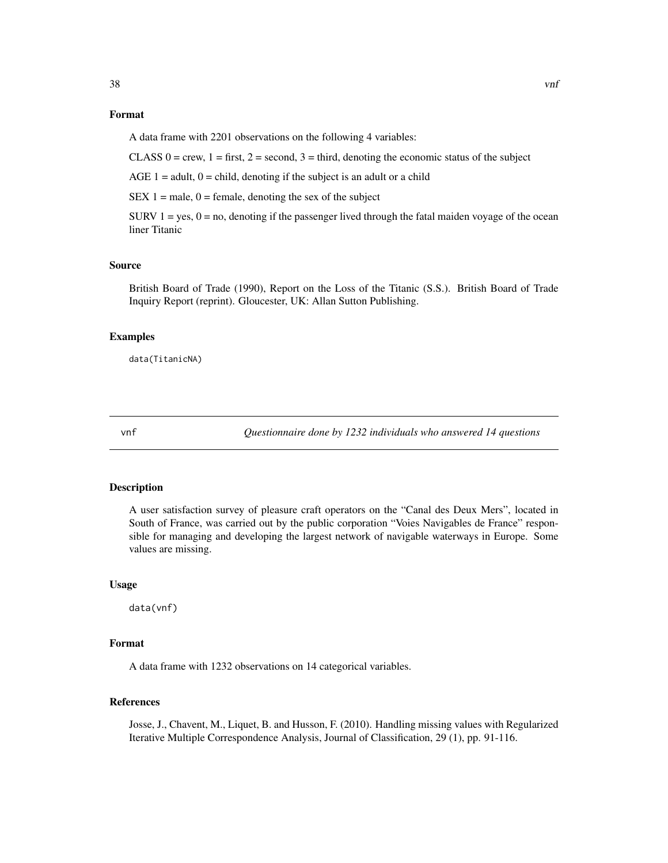# <span id="page-37-0"></span>Format

A data frame with 2201 observations on the following 4 variables:

CLASS  $0 =$  crew,  $1 =$  first,  $2 =$  second,  $3 =$  third, denoting the economic status of the subject

AGE  $1 =$  adult,  $0 =$  child, denoting if the subject is an adult or a child

SEX  $1 =$  male,  $0 =$  female, denoting the sex of the subject

SURV  $1 = yes$ ,  $0 = no$ , denoting if the passenger lived through the fatal maiden voyage of the ocean liner Titanic

# Source

British Board of Trade (1990), Report on the Loss of the Titanic (S.S.). British Board of Trade Inquiry Report (reprint). Gloucester, UK: Allan Sutton Publishing.

#### Examples

data(TitanicNA)

vnf *Questionnaire done by 1232 individuals who answered 14 questions*

#### Description

A user satisfaction survey of pleasure craft operators on the "Canal des Deux Mers", located in South of France, was carried out by the public corporation "Voies Navigables de France" responsible for managing and developing the largest network of navigable waterways in Europe. Some values are missing.

#### Usage

data(vnf)

#### Format

A data frame with 1232 observations on 14 categorical variables.

#### References

Josse, J., Chavent, M., Liquet, B. and Husson, F. (2010). Handling missing values with Regularized Iterative Multiple Correspondence Analysis, Journal of Classification, 29 (1), pp. 91-116.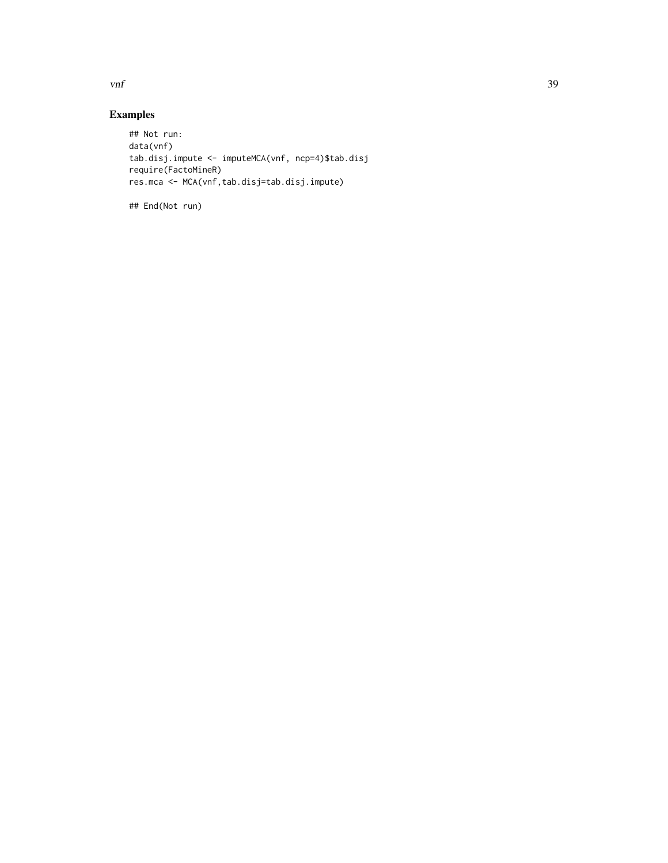$\mathbf{v}$ nf  $\mathbf{39}$ 

# Examples

```
## Not run:
data(vnf)
tab.disj.impute <- imputeMCA(vnf, ncp=4)$tab.disj
require(FactoMineR)
res.mca <- MCA(vnf,tab.disj=tab.disj.impute)
```
## End(Not run)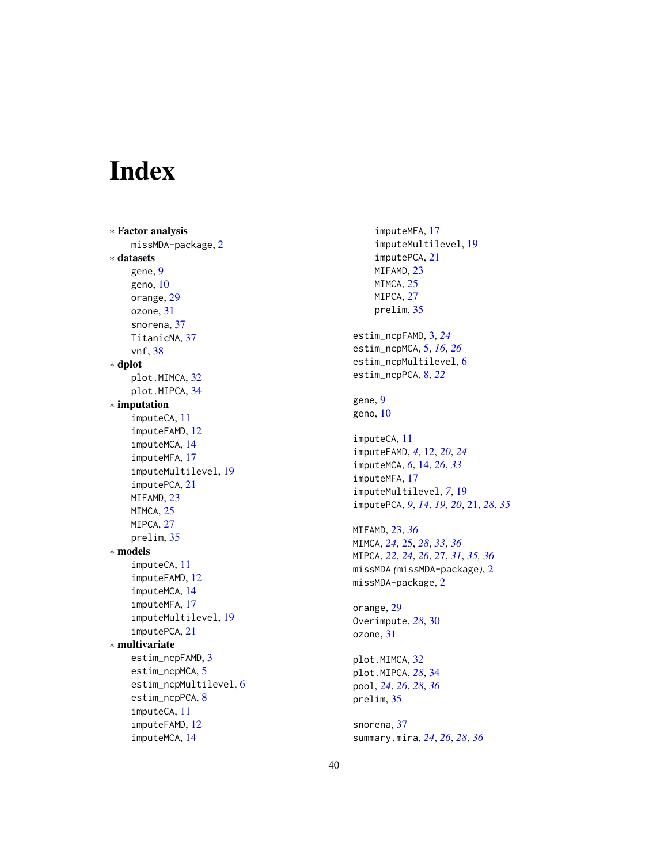# <span id="page-39-0"></span>**Index**

∗ Factor analysis missMDA-package , [2](#page-1-0) ∗ datasets gene , [9](#page-8-0) geno , [10](#page-9-0) orange , [29](#page-28-0) ozone , [31](#page-30-0) snorena, [37](#page-36-0) TitanicNA , [37](#page-36-0) vnf , [38](#page-37-0) ∗ dplot plot.MIMCA , [32](#page-31-0) plot.MIPCA , [34](#page-33-0) ∗ imputation imputeCA , [11](#page-10-0) imputeFAMD , [12](#page-11-0) imputeMCA , [14](#page-13-0) imputeMFA , [17](#page-16-0) imputeMultilevel , [19](#page-18-0) imputePCA , [21](#page-20-0) MIFAMD, [23](#page-22-0) MIMCA, [25](#page-24-0) MIPCA, [27](#page-26-0) prelim , [35](#page-34-0) ∗ models imputeCA , [11](#page-10-0) imputeFAMD , [12](#page-11-0) imputeMCA , [14](#page-13-0) imputeMFA , [17](#page-16-0) imputeMultilevel , [19](#page-18-0) imputePCA , [21](#page-20-0) ∗ multivariate estim\_ncpFAMD , [3](#page-2-0) estim\_ncpMCA, [5](#page-4-0) estim\_ncpMultilevel , [6](#page-5-0) estim\_ncpPCA, [8](#page-7-0) imputeCA , [11](#page-10-0) imputeFAMD , [12](#page-11-0) imputeMCA , [14](#page-13-0)

imputeMFA , [17](#page-16-0) imputeMultilevel , [19](#page-18-0) imputePCA , [21](#page-20-0) MIFAMD, [23](#page-22-0) MIMCA, [25](#page-24-0) MIPCA, [27](#page-26-0) prelim , [35](#page-34-0) estim\_ncpFAMD , [3](#page-2-0) , *[24](#page-23-0)* estim\_ncpMCA , [5](#page-4-0) , *[16](#page-15-0)* , *[26](#page-25-0)* estim\_ncpMultilevel, [6](#page-5-0) estim\_ncpPCA , [8](#page-7-0) , *[22](#page-21-0)* gene , [9](#page-8-0) geno, [10](#page-9-0) imputeCA , [11](#page-10-0) imputeFAMD , *[4](#page-3-0)* , [12](#page-11-0) , *[20](#page-19-0)* , *[24](#page-23-0)* imputeMCA , *[6](#page-5-0)* , [14](#page-13-0) , *[26](#page-25-0)* , *[33](#page-32-0)* imputeMFA , [17](#page-16-0) imputeMultilevel , *[7](#page-6-0)* , [19](#page-18-0) imputePCA , *[9](#page-8-0)* , *[14](#page-13-0)* , *[19](#page-18-0) , [20](#page-19-0)* , [21](#page-20-0) , *[28](#page-27-0)* , *[35](#page-34-0)* MIFAMD , [23](#page-22-0) , *[36](#page-35-0)* MIMCA , *[24](#page-23-0)* , [25](#page-24-0) , *[28](#page-27-0)* , *[33](#page-32-0)* , *[36](#page-35-0)* MIPCA , *[22](#page-21-0)* , *[24](#page-23-0)* , *[26](#page-25-0)* , [27](#page-26-0) , *[31](#page-30-0)* , *[35](#page-34-0) , [36](#page-35-0)* missMDA *(*missMDA-package *)* , [2](#page-1-0) missMDA-package, $2$ orange, [29](#page-28-0) Overimpute , *[28](#page-27-0)* , [30](#page-29-0) ozone , [31](#page-30-0) plot.MIMCA , [32](#page-31-0) plot.MIPCA , *[28](#page-27-0)* , [34](#page-33-0) pool , *[24](#page-23-0)* , *[26](#page-25-0)* , *[28](#page-27-0)* , *[36](#page-35-0)* prelim , [35](#page-34-0) snorena , [37](#page-36-0) summary.mira , *[24](#page-23-0)* , *[26](#page-25-0)* , *[28](#page-27-0)* , *[36](#page-35-0)*